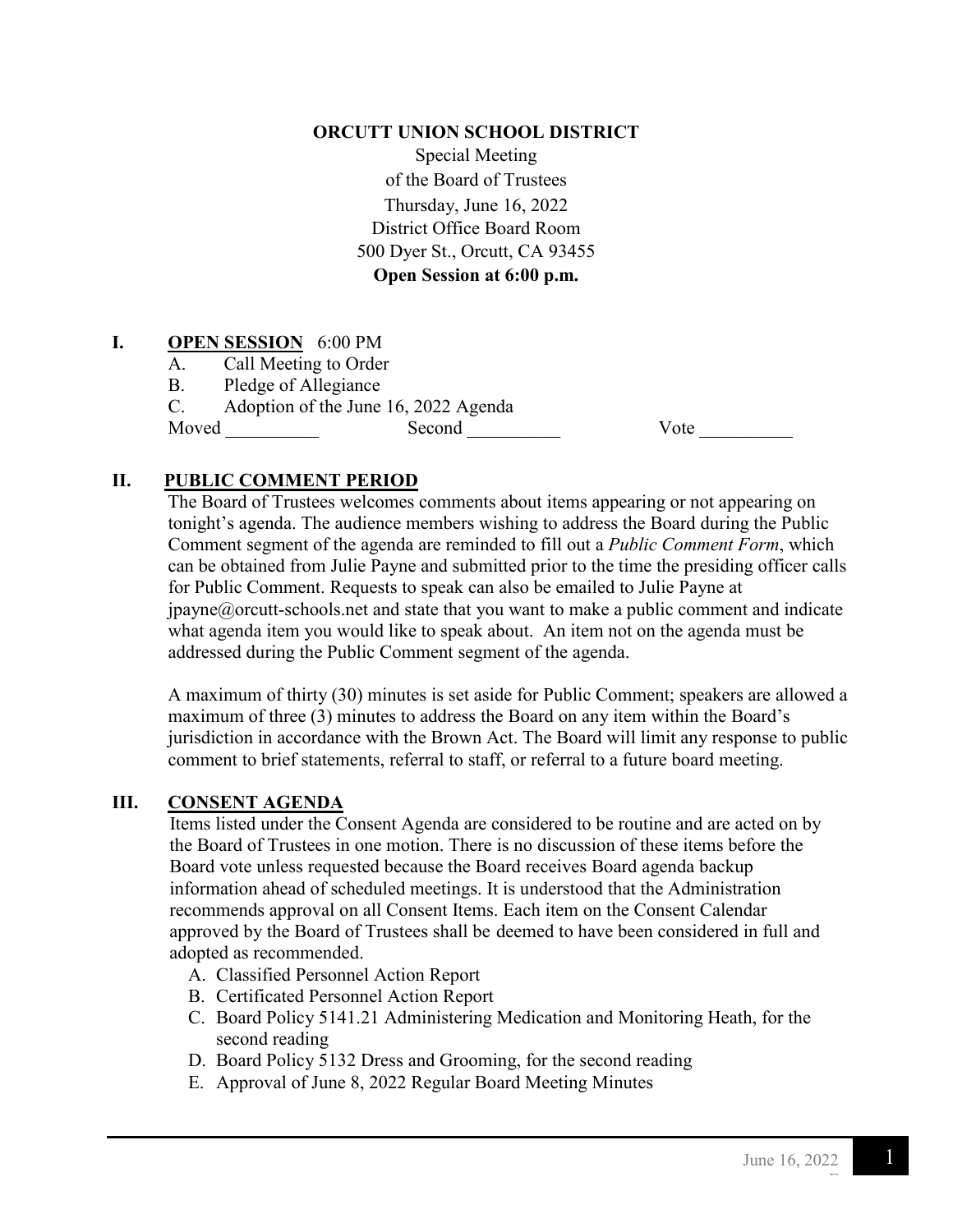#### **ORCUTT UNION SCHOOL DISTRICT**

Special Meeting of the Board of Trustees Thursday, June 16, 2022 District Office Board Room 500 Dyer St., Orcutt, CA 93455 **Open Session at 6:00 p.m.**

#### **I. OPEN SESSION** 6:00 PM

- A. Call Meeting to Order
- B. Pledge of Allegiance

C. Adoption of the June 16, 2022 Agenda

Moved \_\_\_\_\_\_\_\_\_\_ Second \_\_\_\_\_\_\_\_\_\_ Vote \_\_\_\_\_\_\_\_\_\_

#### **II. PUBLIC COMMENT PERIOD**

 The Board of Trustees welcomes comments about items appearing or not appearing on tonight's agenda. The audience members wishing to address the Board during the Public Comment segment of the agenda are reminded to fill out a *Public Comment Form*, which can be obtained from Julie Payne and submitted prior to the time the presiding officer calls for Public Comment. Requests to speak can also be emailed to Julie Payne at  $ipayne@orcut-schools.net$  and state that you want to make a public comment and indicate what agenda item you would like to speak about. An item not on the agenda must be addressed during the Public Comment segment of the agenda.

A maximum of thirty (30) minutes is set aside for Public Comment; speakers are allowed a maximum of three (3) minutes to address the Board on any item within the Board's jurisdiction in accordance with the Brown Act. The Board will limit any response to public comment to brief statements, referral to staff, or referral to a future board meeting.

#### **III. CONSENT AGENDA**

Items listed under the Consent Agenda are considered to be routine and are acted on by the Board of Trustees in one motion. There is no discussion of these items before the Board vote unless requested because the Board receives Board agenda backup information ahead of scheduled meetings. It is understood that the Administration recommends approval on all Consent Items. Each item on the Consent Calendar approved by the Board of Trustees shall be deemed to have been considered in full and adopted as recommended.

- A. Classified Personnel Action Report
- B. Certificated Personnel Action Report
- C. Board Policy 5141.21 Administering Medication and Monitoring Heath, for the second reading
- D. Board Policy 5132 Dress and Grooming, for the second reading
- E. Approval of June 8, 2022 Regular Board Meeting Minutes

F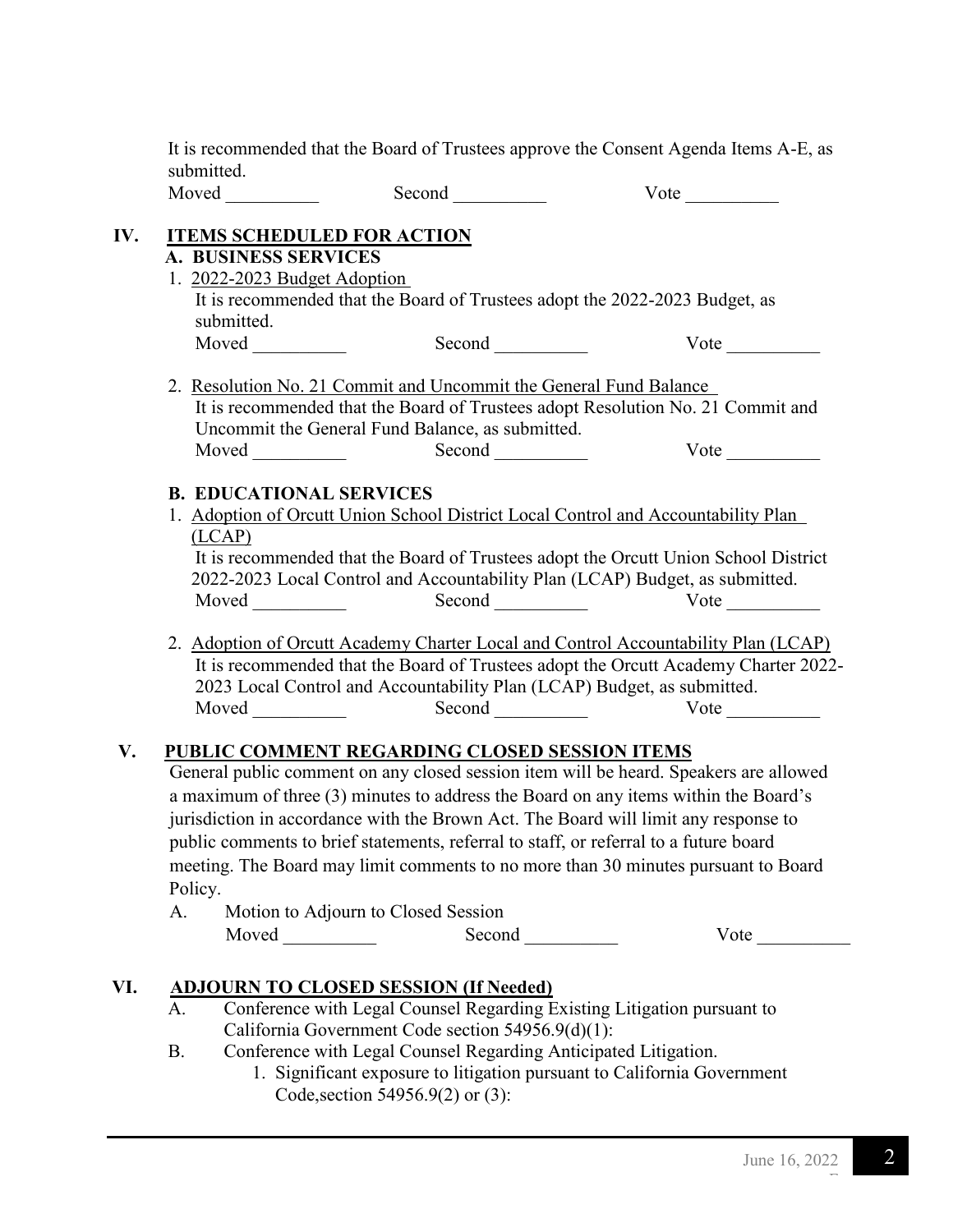It is recommended that the Board of Trustees approve the Consent Agenda Items A-E, as submitted.

| $\mathbf{M}$<br>$-1$ $-1$ | ' いし<br>$ -$ |
|---------------------------|--------------|
|                           |              |

# **IV. ITEMS SCHEDULED FOR ACTION**

# **A. BUSINESS SERVICES**

- 1. 2022-2023 Budget Adoption It is recommended that the Board of Trustees adopt the 2022-2023 Budget, as submitted. Moved Second Vote
- 2. Resolution No. 21 Commit and Uncommit the General Fund Balance It is recommended that the Board of Trustees adopt Resolution No. 21 Commit and Uncommit the General Fund Balance, as submitted. Moved \_\_\_\_\_\_\_\_\_\_ Second \_\_\_\_\_\_\_\_\_\_ Vote \_\_\_\_\_\_\_\_\_\_

# **B. EDUCATIONAL SERVICES**

- 1. Adoption of Orcutt Union School District Local Control and Accountability Plan (LCAP) It is recommended that the Board of Trustees adopt the Orcutt Union School District 2022-2023 Local Control and Accountability Plan (LCAP) Budget, as submitted. Moved Second Second Vote
- 2. Adoption of Orcutt Academy Charter Local and Control Accountability Plan (LCAP) It is recommended that the Board of Trustees adopt the Orcutt Academy Charter 2022- 2023 Local Control and Accountability Plan (LCAP) Budget, as submitted. Moved Second Second Vote \_\_\_\_\_\_\_

# **V. PUBLIC COMMENT REGARDING CLOSED SESSION ITEMS**

 General public comment on any closed session item will be heard. Speakers are allowed a maximum of three (3) minutes to address the Board on any items within the Board's jurisdiction in accordance with the Brown Act. The Board will limit any response to public comments to brief statements, referral to staff, or referral to a future board meeting. The Board may limit comments to no more than 30 minutes pursuant to Board Policy.

| Motion to Adjourn to Closed Session |        |      |
|-------------------------------------|--------|------|
| Moved                               | Second | Vote |

# **VI. ADJOURN TO CLOSED SESSION (If Needed)**

- A. Conference with Legal Counsel Regarding Existing Litigation pursuant to California Government Code section 54956.9(d)(1):
- B. Conference with Legal Counsel Regarding Anticipated Litigation.
	- 1. Significant exposure to litigation pursuant to California Government Code, section 54956.9(2) or (3):

F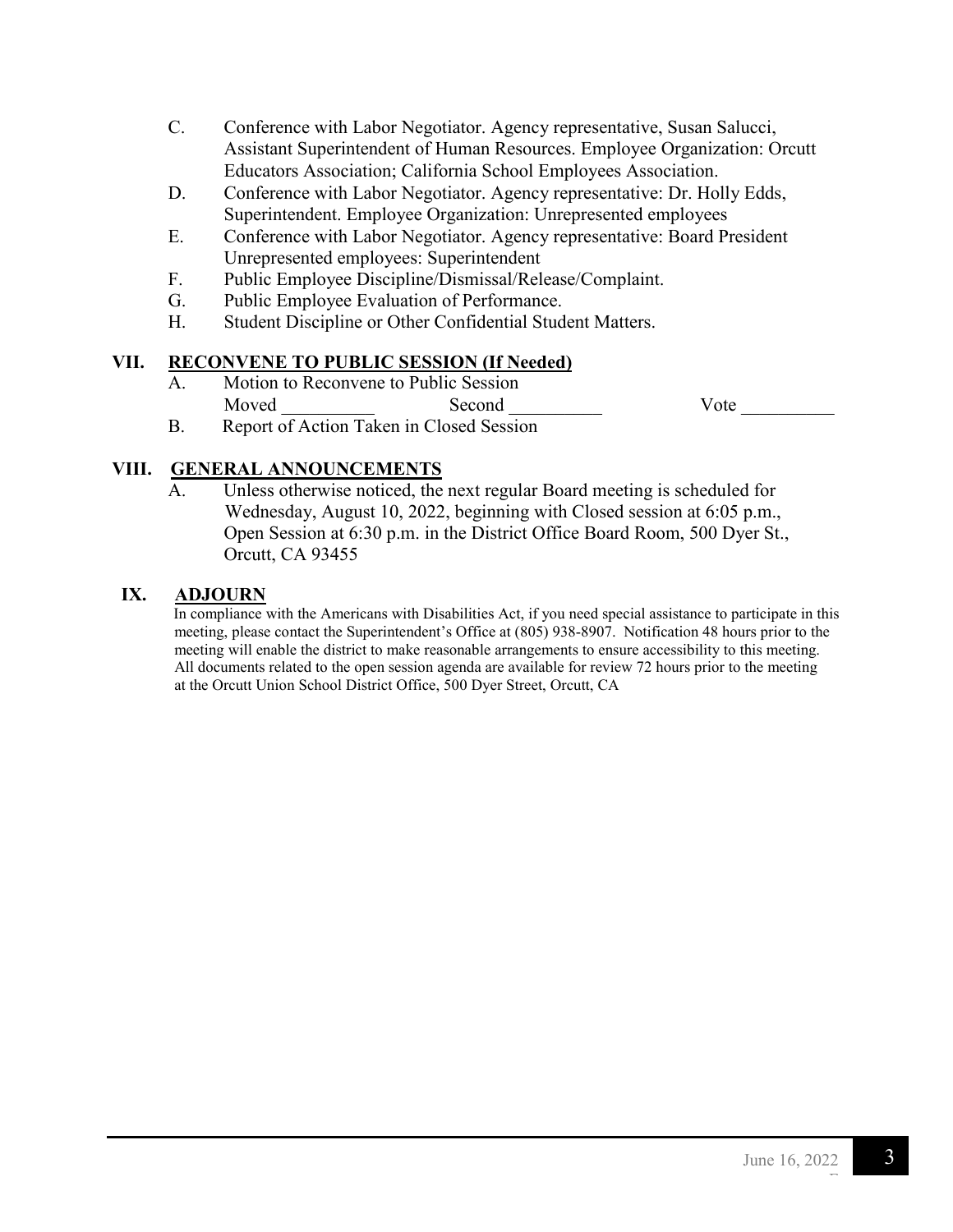- C. Conference with Labor Negotiator. Agency representative, Susan Salucci, Assistant Superintendent of Human Resources. Employee Organization: Orcutt Educators Association; California School Employees Association.
- D. Conference with Labor Negotiator. Agency representative: Dr. Holly Edds, Superintendent. Employee Organization: Unrepresented employees
- E. Conference with Labor Negotiator. Agency representative: Board President Unrepresented employees: Superintendent
- F. Public Employee Discipline/Dismissal/Release/Complaint.
- G. Public Employee Evaluation of Performance.
- H. Student Discipline or Other Confidential Student Matters.

#### **VII. RECONVENE TO PUBLIC SESSION (If Needed)**

 A. Motion to Reconvene to Public Session Moved Second Second Vote Vote

B. Report of Action Taken in Closed Session

#### **VIII. GENERAL ANNOUNCEMENTS**

A. Unless otherwise noticed, the next regular Board meeting is scheduled for Wednesday, August 10, 2022, beginning with Closed session at 6:05 p.m., Open Session at 6:30 p.m. in the District Office Board Room, 500 Dyer St., Orcutt, CA 93455

#### **IX. ADJOURN**

In compliance with the Americans with Disabilities Act, if you need special assistance to participate in this meeting, please contact the Superintendent's Office at (805) 938-8907. Notification 48 hours prior to the meeting will enable the district to make reasonable arrangements to ensure accessibility to this meeting. All documents related to the open session agenda are available for review 72 hours prior to the meeting at the Orcutt Union School District Office, 500 Dyer Street, Orcutt, CA

F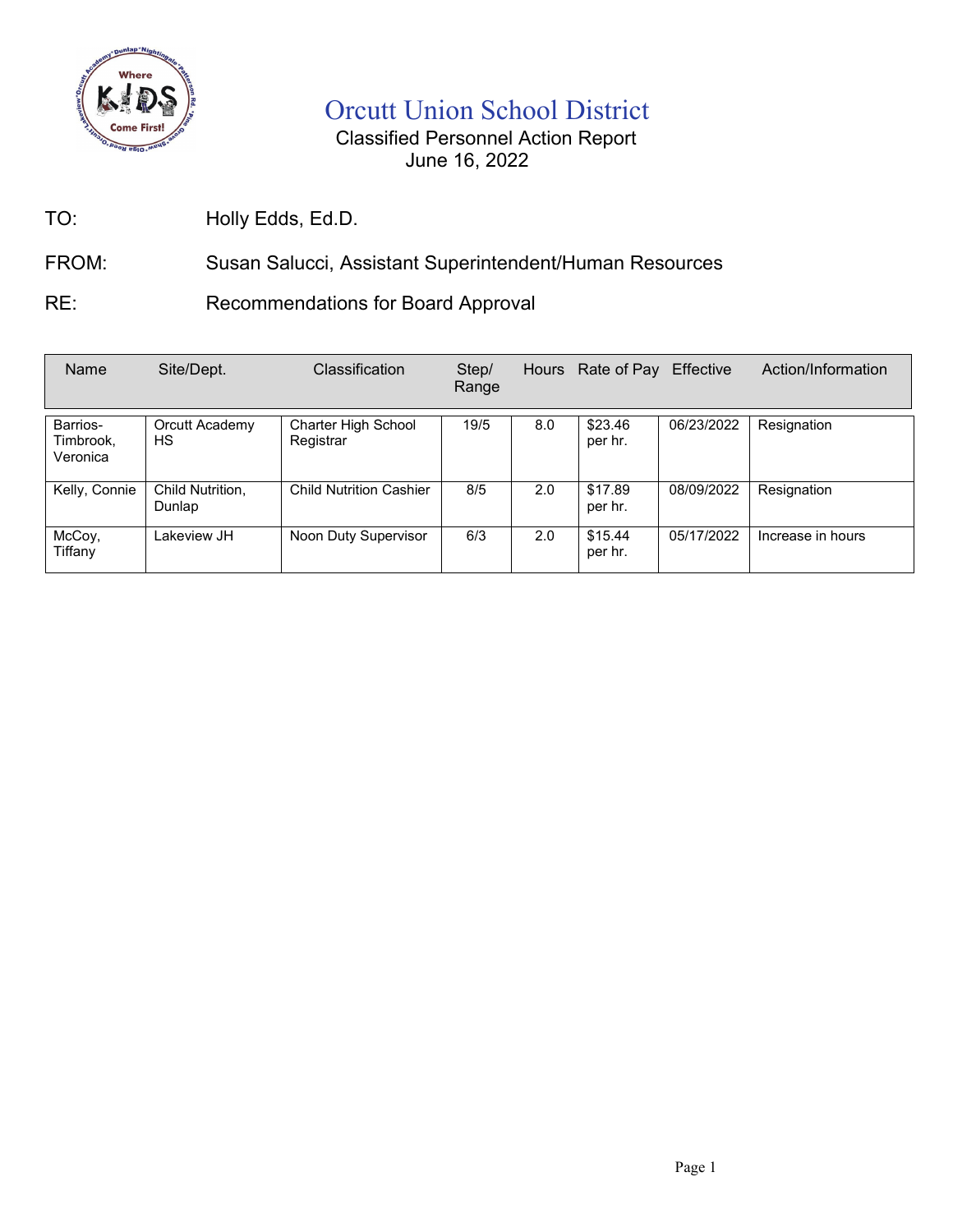

# Orcutt Union School District

# Classified Personnel Action Report June 16, 2022

TO: Holly Edds, Ed.D.

# FROM: Susan Salucci, Assistant Superintendent/Human Resources

RE: Recommendations for Board Approval

| Name                              | Site/Dept.                 | <b>Classification</b>            | Step/<br>Range |     | Hours Rate of Pay  | Effective  | Action/Information |
|-----------------------------------|----------------------------|----------------------------------|----------------|-----|--------------------|------------|--------------------|
| Barrios-<br>Timbrook,<br>Veronica | Orcutt Academy<br>НS       | Charter High School<br>Registrar | 19/5           | 8.0 | \$23.46<br>per hr. | 06/23/2022 | Resignation        |
| Kelly, Connie                     | Child Nutrition,<br>Dunlap | <b>Child Nutrition Cashier</b>   | 8/5            | 2.0 | \$17.89<br>per hr. | 08/09/2022 | Resignation        |
| McCoy,<br>Tiffany                 | Lakeview JH                | Noon Duty Supervisor             | 6/3            | 2.0 | \$15.44<br>per hr. | 05/17/2022 | Increase in hours  |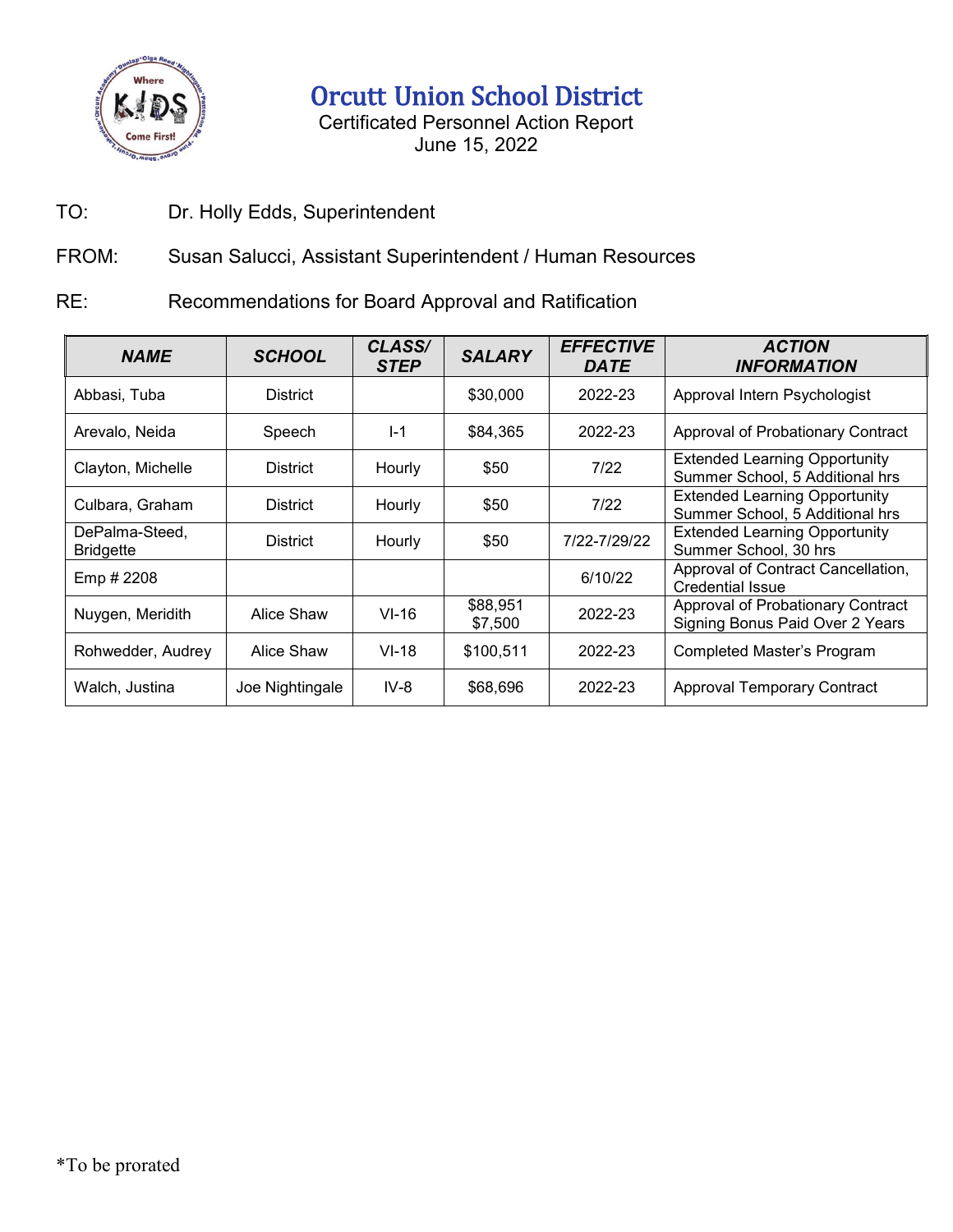

Orcutt Union School District

Certificated Personnel Action Report June 15, 2022

TO: Dr. Holly Edds, Superintendent

FROM: Susan Salucci, Assistant Superintendent / Human Resources

RE: Recommendations for Board Approval and Ratification

| <b>NAME</b>                        | <b>SCHOOL</b>   | CLASS/<br><b>STEP</b> | <b>SALARY</b>       | <b>EFFECTIVE</b><br><b>DATE</b> | <b>ACTION</b><br><b>INFORMATION</b>                                     |
|------------------------------------|-----------------|-----------------------|---------------------|---------------------------------|-------------------------------------------------------------------------|
| Abbasi, Tuba                       | <b>District</b> |                       | \$30,000            | 2022-23                         | Approval Intern Psychologist                                            |
| Arevalo, Neida                     | Speech          | $I-1$                 | \$84,365            | 2022-23                         | Approval of Probationary Contract                                       |
| Clayton, Michelle                  | District        | <b>Hourly</b>         | \$50                | 7/22                            | <b>Extended Learning Opportunity</b><br>Summer School, 5 Additional hrs |
| Culbara, Graham                    | <b>District</b> | <b>Hourly</b>         | \$50                | 7/22                            | <b>Extended Learning Opportunity</b><br>Summer School, 5 Additional hrs |
| DePalma-Steed,<br><b>Bridgette</b> | <b>District</b> | Hourly                | \$50                | 7/22-7/29/22                    | <b>Extended Learning Opportunity</b><br>Summer School, 30 hrs           |
| Emp # 2208                         |                 |                       |                     | 6/10/22                         | Approval of Contract Cancellation,<br><b>Credential Issue</b>           |
| Nuygen, Meridith                   | Alice Shaw      | $VI-16$               | \$88,951<br>\$7,500 | 2022-23                         | Approval of Probationary Contract<br>Signing Bonus Paid Over 2 Years    |
| Rohwedder, Audrey                  | Alice Shaw      | $VI-18$               | \$100,511           | 2022-23                         | <b>Completed Master's Program</b>                                       |
| Walch, Justina                     | Joe Nightingale | $IV-8$                | \$68,696            | 2022-23                         | <b>Approval Temporary Contract</b>                                      |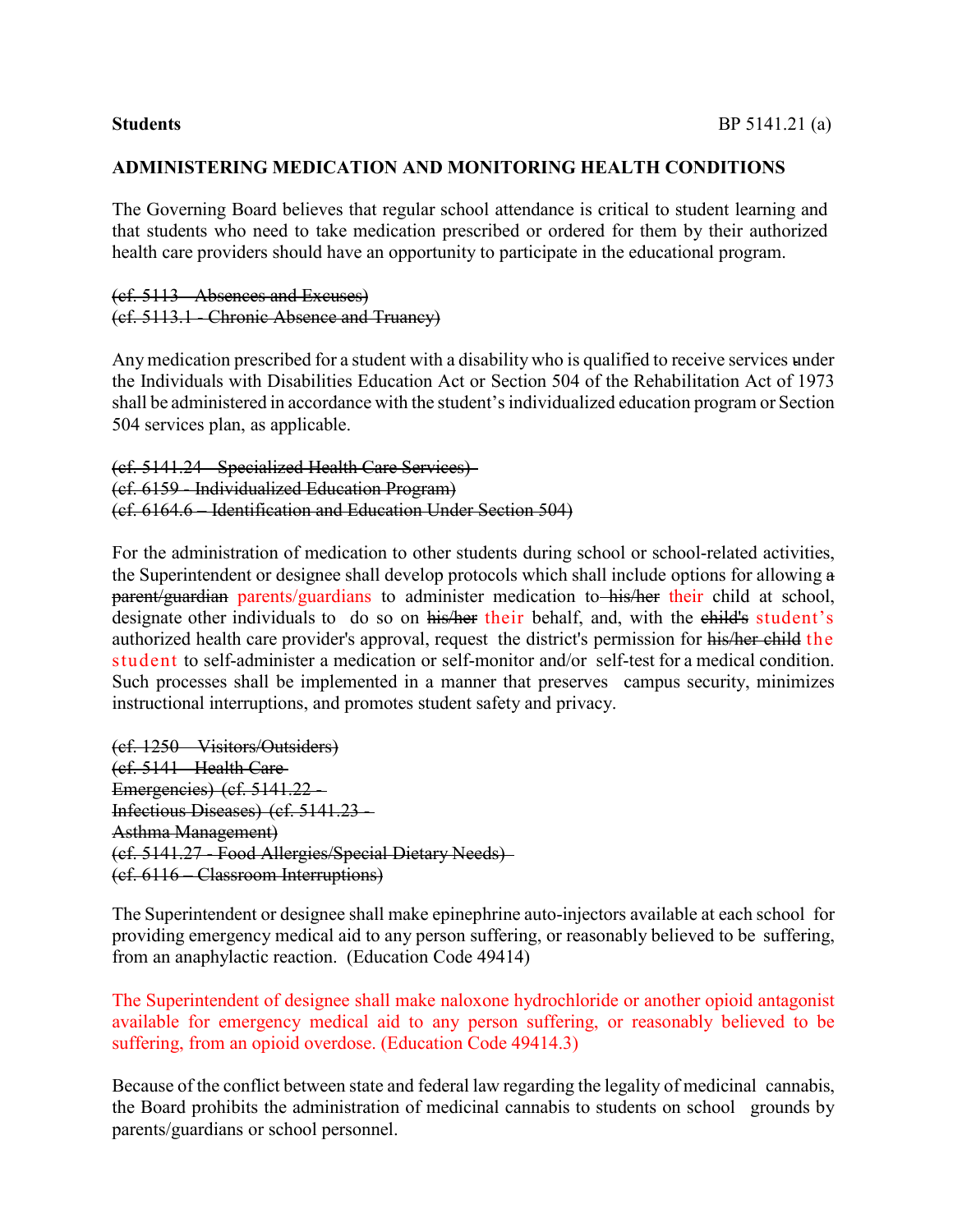#### **ADMINISTERING MEDICATION AND MONITORING HEALTH CONDITIONS**

The Governing Board believes that regular school attendance is critical to student learning and that students who need to take medication prescribed or ordered for them by their authorized health care providers should have an opportunity to participate in the educational program.

#### (cf. 5113 - Absences and Excuses) (cf. 5113.1 - Chronic Absence and Truancy)

Any medication prescribed for a student with a disability who is qualified to receive services under the Individuals with Disabilities Education Act or Section 504 of the Rehabilitation Act of 1973 shall be administered in accordance with the student's individualized education program or Section 504 services plan, as applicable.

```
(cf. 5141.24 - Specialized Health Care Services)
(cf. 6159 - Individualized Education Program)
(cf. 6164.6 – Identification and Education Under Section 504)
```
For the administration of medication to other students during school or school-related activities, the Superintendent or designee shall develop protocols which shall include options for allowing a parent/guardian parents/guardians to administer medication to his/her their child at school, designate other individuals to do so on his/her their behalf, and, with the child's student's authorized health care provider's approval, request the district's permission for his/her child the student to self-administer a medication or self-monitor and/or self-test for a medical condition. Such processes shall be implemented in a manner that preserves campus security, minimizes instructional interruptions, and promotes student safety and privacy.

```
(cf. 1250 – Visitors/Outsiders)
(cf. 5141 - Health Care
Emergencies) (cf. 5141.22 - 
Infectious Diseases) (cf. 5141.23 - 
Asthma Management)
(cf. 5141.27 - Food Allergies/Special Dietary Needs)
(cf. 6116 – Classroom Interruptions)
```
The Superintendent or designee shall make epinephrine auto-injectors available at each school for providing emergency medical aid to any person suffering, or reasonably believed to be suffering, from an anaphylactic reaction. (Education Code 49414)

The Superintendent of designee shall make naloxone hydrochloride or another opioid antagonist available for emergency medical aid to any person suffering, or reasonably believed to be suffering, from an opioid overdose. (Education Code 49414.3)

Because of the conflict between state and federal law regarding the legality of medicinal cannabis, the Board prohibits the administration of medicinal cannabis to students on school grounds by parents/guardians or school personnel.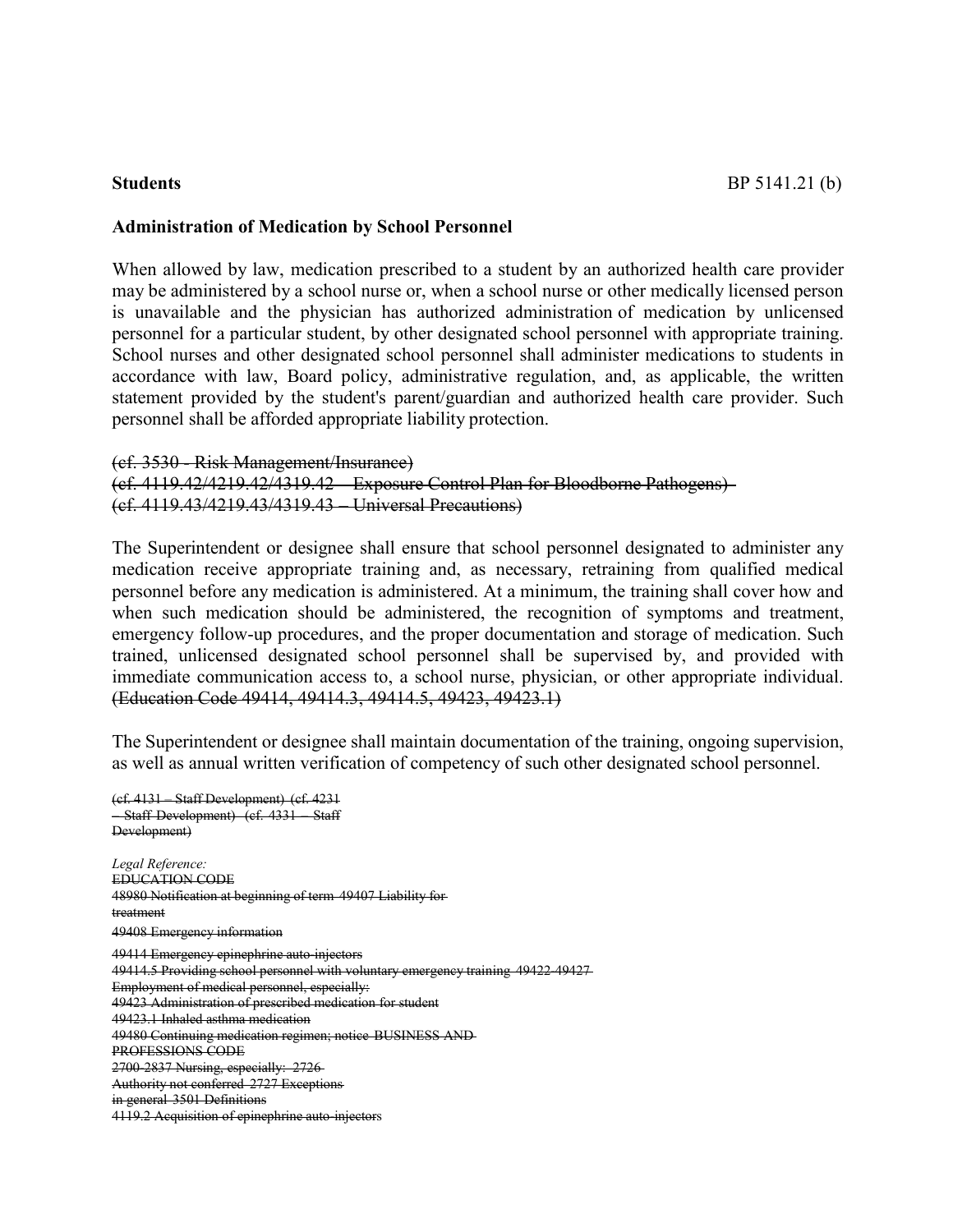#### **Administration of Medication by School Personnel**

When allowed by law, medication prescribed to a student by an authorized health care provider may be administered by a school nurse or, when a school nurse or other medically licensed person is unavailable and the physician has authorized administration of medication by unlicensed personnel for a particular student, by other designated school personnel with appropriate training. School nurses and other designated school personnel shall administer medications to students in accordance with law, Board policy, administrative regulation, and, as applicable, the written statement provided by the student's parent/guardian and authorized health care provider. Such personnel shall be afforded appropriate liability protection.

#### (cf. 3530 - Risk Management/Insurance)

#### (cf. 4119.42/4219.42/4319.42 – Exposure Control Plan for Bloodborne Pathogens) (cf. 4119.43/4219.43/4319.43 – Universal Precautions)

The Superintendent or designee shall ensure that school personnel designated to administer any medication receive appropriate training and, as necessary, retraining from qualified medical personnel before any medication is administered. At a minimum, the training shall cover how and when such medication should be administered, the recognition of symptoms and treatment, emergency follow-up procedures, and the proper documentation and storage of medication. Such trained, unlicensed designated school personnel shall be supervised by, and provided with immediate communication access to, a school nurse, physician, or other appropriate individual. (Education Code 49414, 49414.3, 49414.5, 49423, 49423.1)

The Superintendent or designee shall maintain documentation of the training, ongoing supervision, as well as annual written verification of competency of such other designated school personnel.

(cf. 4131 – Staff Development) (cf. 4231 – Staff Development) (cf. 4331 – Staff Development) *Legal Reference:* EDUCATION CODE 48980 Notification at beginning of term 49407 Liability for treatment 49408 Emergency information 49414 Emergency epinephrine auto-injectors 49414.5 Providing school personnel with voluntary emergency training 49422-49427 Employment of medical personnel, especially: 49423 Administration of prescribed medication for student 49423.1 Inhaled asthma medication 49480 Continuing medication regimen; notice BUSINESS AND PROFESSIONS CODE 2700-2837 Nursing, especially: 2726 Authority not conferred 2727 Exceptions in general 3501 Definitions 4119.2 Acquisition of epinephrine auto-injectors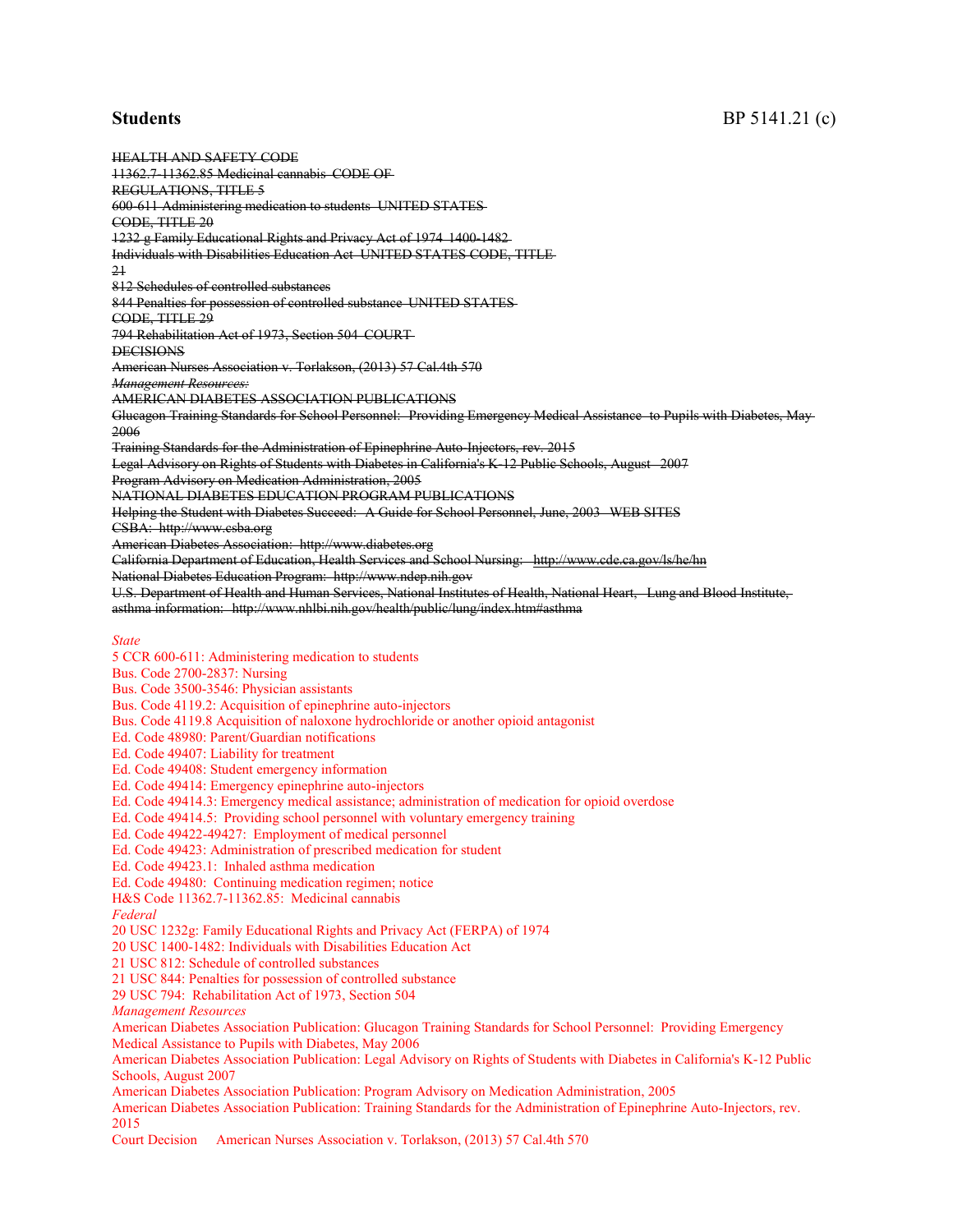HEALTH AND SAFETY CODE 11362.7-11362.85 Medicinal cannabis CODE OF REGULATIONS, TITLE 5 600-611 Administering medication to students UNITED STATES CODE, TITLE 20 1232 g Family Educational Rights and Privacy Act of 1974 1400-1482 Individuals with Disabilities Education Act UNITED STATES CODE, TITLE 21 812 Schedules of controlled substances 844 Penalties for possession of controlled substance UNITED STATES CODE, TITLE 29 794 Rehabilitation Act of 1973, Section 504 COURT **DECISIONS** American Nurses Association v. Torlakson, (2013) 57 Cal.4th 570 *Management Resources:* AMERICAN DIABETES ASSOCIATION PUBLICATIONS Glucagon Training Standards for School Personnel: Providing Emergency Medical Assistance to Pupils with Diabetes, May 2006 Training Standards for the Administration of Epinephrine Auto-Injectors, rev. 2015 Legal Advisory on Rights of Students with Diabetes in California's K-12 Public Schools, August 2007 Program Advisory on Medication Administration, 2005 NATIONAL DIABETES EDUCATION PROGRAM PUBLICATIONS Helping the Student with Diabetes Succeed: A Guide for School Personnel, June, 2003 WEB SITES CS[BA: http://www.csba.org](http://www.csba.org/) American Diabetes Asso[ciation: http://www.diabetes.org](http://www.diabetes.org/) California Department of Education, Health Services and School Nursing: <http://www.cde.ca.gov/ls/he/hn> National Diabetes Education Progr[am: http://www.ndep.nih.gov](http://www.ndep.nih.gov/) U.S. Department of Health and Human Services, National Institutes of Health, National Heart, Lung and Blood Institute, asthma information: <http://www.nhlbi.nih.gov/health/public/lung/index.htm#asthma> *State* 5 CCR 600-611: Administering medication to students Bus. Code 2700-2837: Nursing Bus. Code 3500-3546: Physician assistants Bus. Code 4119.2: Acquisition of epinephrine auto-injectors Bus. Code 4119.8 Acquisition of naloxone hydrochloride or another opioid antagonist Ed. Code 48980: Parent/Guardian notifications Ed. Code 49407: Liability for treatment Ed. Code 49408: Student emergency information Ed. Code 49414: Emergency epinephrine auto-injectors Ed. Code 49414.3: Emergency medical assistance; administration of medication for opioid overdose Ed. Code 49414.5: Providing school personnel with voluntary emergency training Ed. Code 49422-49427: Employment of medical personnel Ed. Code 49423: Administration of prescribed medication for student Ed. Code 49423.1: Inhaled asthma medication Ed. Code 49480: Continuing medication regimen; notice H&S Code 11362.7-11362.85: Medicinal cannabis *Federal* 20 USC 1232g: Family Educational Rights and Privacy Act (FERPA) of 1974 20 USC 1400-1482: Individuals with Disabilities Education Act 21 USC 812: Schedule of controlled substances 21 USC 844: Penalties for possession of controlled substance 29 USC 794: Rehabilitation Act of 1973, Section 504 *Management Resources* American Diabetes Association Publication: Glucagon Training Standards for School Personnel: Providing Emergency Medical Assistance to Pupils with Diabetes, May 2006 American Diabetes Association Publication: Legal Advisory on Rights of Students with Diabetes in California's K-12 Public Schools, August 2007 American Diabetes Association Publication: Program Advisory on Medication Administration, 2005 American Diabetes Association Publication: Training Standards for the Administration of Epinephrine Auto-Injectors, rev. 2015

Court Decision American Nurses Association v. Torlakson, (2013) 57 Cal.4th 570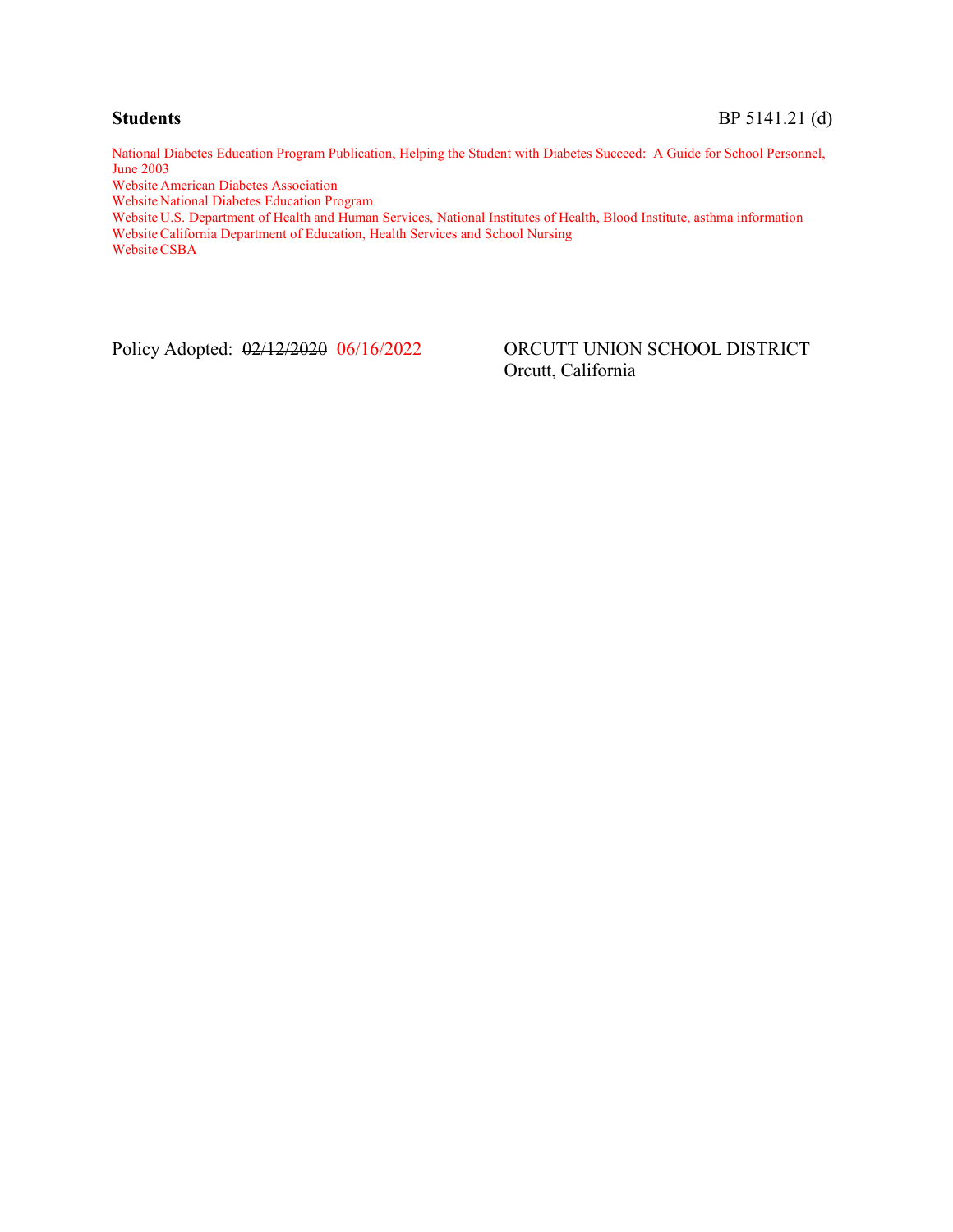National Diabetes Education Program Publication, Helping the Student with Diabetes Succeed: A Guide for School Personnel, June 2003

Website American Diabetes Association

Website National Diabetes Education Program

Website U.S. Department of Health and Human Services, National Institutes of Health, Blood Institute, asthma information Website California Department of Education, Health Services and School Nursing Website CSBA

Policy Adopted:  $\frac{02}{12}{2020}$  06/16/2022 ORCUTT UNION SCHOOL DISTRICT Orcutt, California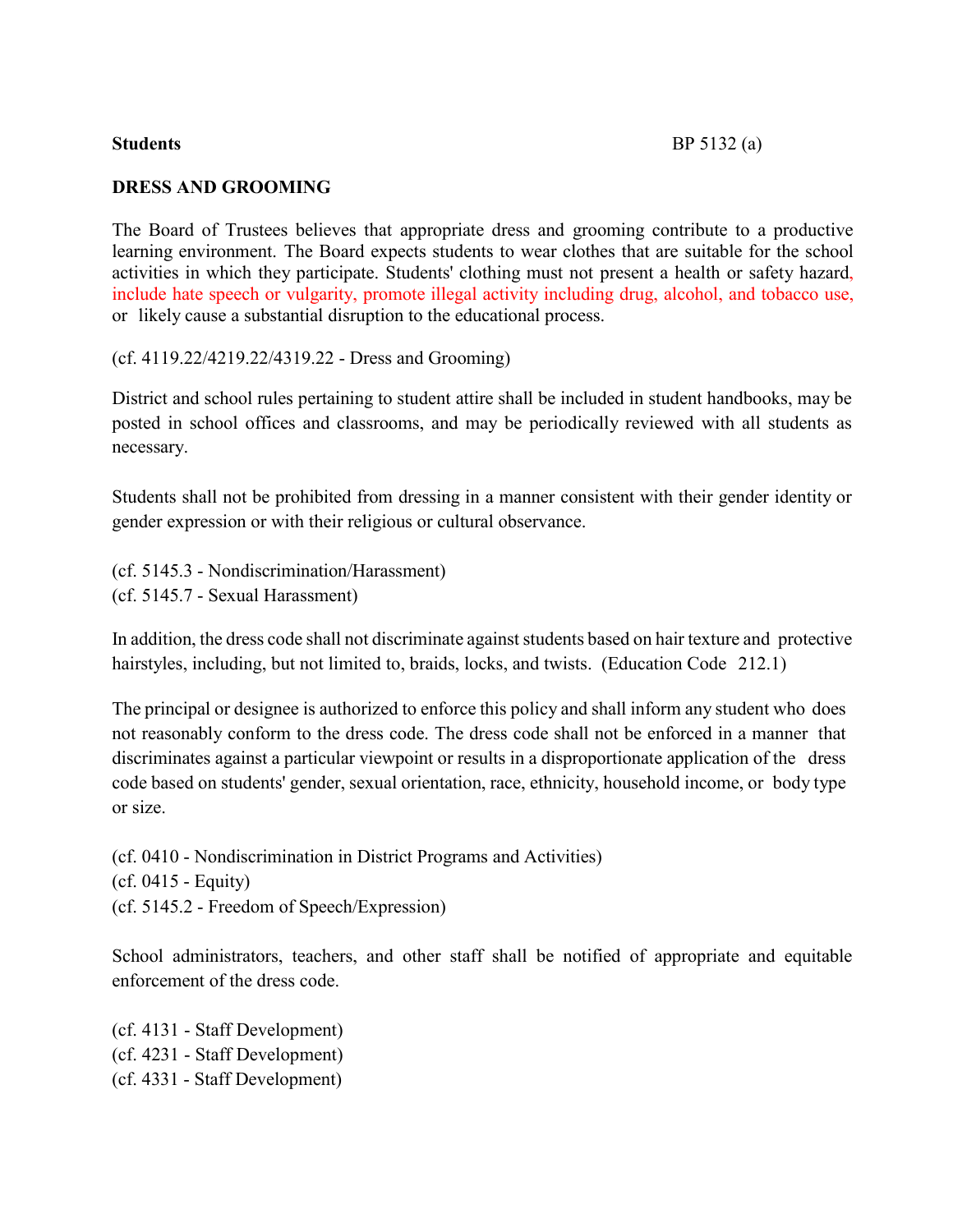#### **DRESS AND GROOMING**

The Board of Trustees believes that appropriate dress and grooming contribute to a productive learning environment. The Board expects students to wear clothes that are suitable for the school activities in which they participate. Students' clothing must not present a health or safety hazard, include hate speech or vulgarity, promote illegal activity including drug, alcohol, and tobacco use, or likely cause a substantial disruption to the educational process.

(cf. 4119.22/4219.22/4319.22 - Dress and Grooming)

District and school rules pertaining to student attire shall be included in student handbooks, may be posted in school offices and classrooms, and may be periodically reviewed with all students as necessary.

Students shall not be prohibited from dressing in a manner consistent with their gender identity or gender expression or with their religious or cultural observance.

(cf. 5145.3 - Nondiscrimination/Harassment) (cf. 5145.7 - Sexual Harassment)

In addition, the dress code shall not discriminate against students based on hair texture and protective hairstyles, including, but not limited to, braids, locks, and twists. (Education Code 212.1)

The principal or designee is authorized to enforce this policy and shall inform any student who does not reasonably conform to the dress code. The dress code shall not be enforced in a manner that discriminates against a particular viewpoint or results in a disproportionate application of the dress code based on students' gender, sexual orientation, race, ethnicity, household income, or body type or size.

(cf. 0410 - Nondiscrimination in District Programs and Activities) (cf. 0415 - Equity) (cf. 5145.2 - Freedom of Speech/Expression)

School administrators, teachers, and other staff shall be notified of appropriate and equitable enforcement of the dress code.

(cf. 4131 - Staff Development) (cf. 4231 - Staff Development) (cf. 4331 - Staff Development)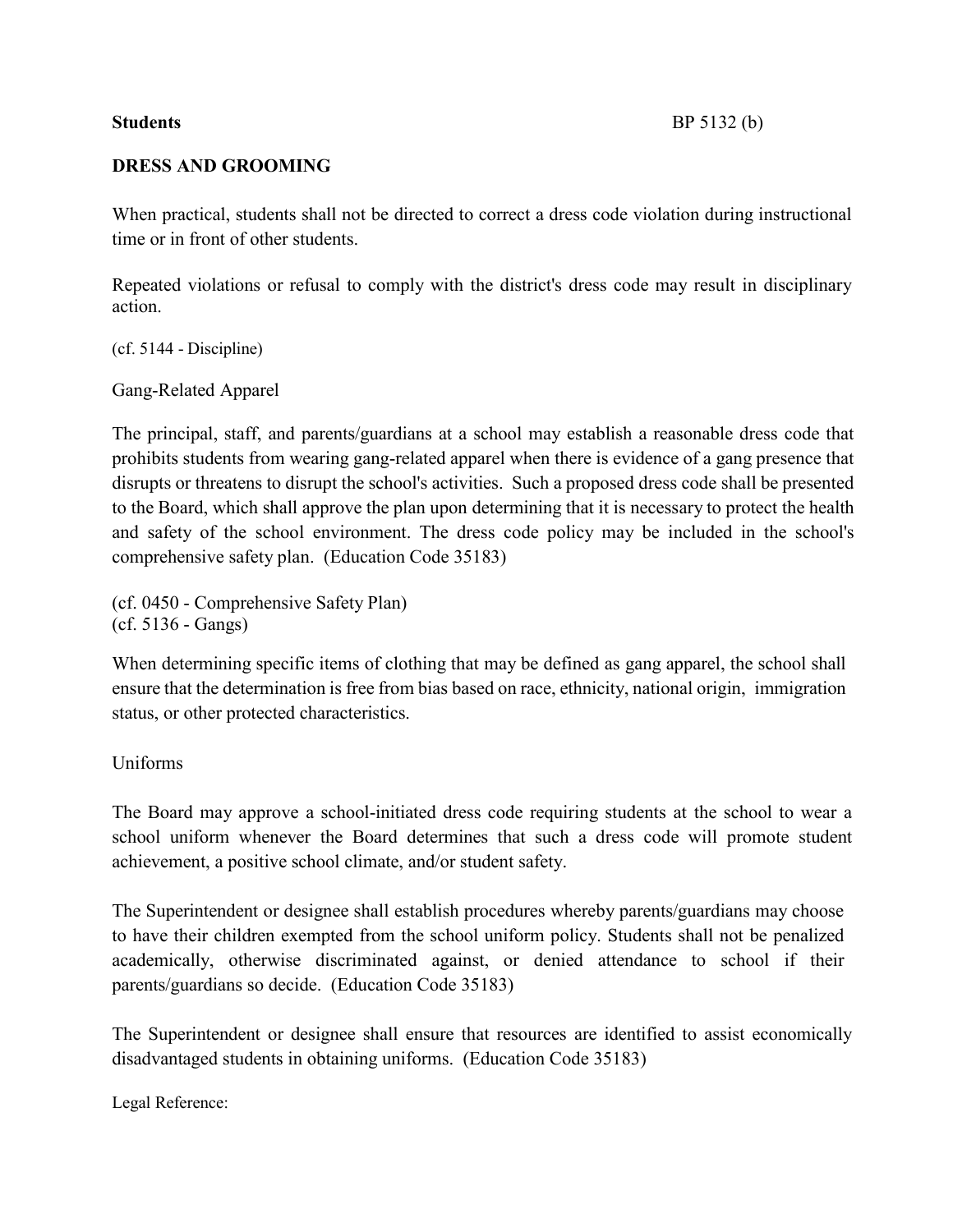#### **DRESS AND GROOMING**

When practical, students shall not be directed to correct a dress code violation during instructional time or in front of other students.

Repeated violations or refusal to comply with the district's dress code may result in disciplinary action.

(cf. 5144 - Discipline)

Gang-Related Apparel

The principal, staff, and parents/guardians at a school may establish a reasonable dress code that prohibits students from wearing gang-related apparel when there is evidence of a gang presence that disrupts or threatens to disrupt the school's activities. Such a proposed dress code shall be presented to the Board, which shall approve the plan upon determining that it is necessary to protect the health and safety of the school environment. The dress code policy may be included in the school's comprehensive safety plan. (Education Code 35183)

(cf. 0450 - Comprehensive Safety Plan) (cf. 5136 - Gangs)

When determining specific items of clothing that may be defined as gang apparel, the school shall ensure that the determination is free from bias based on race, ethnicity, national origin, immigration status, or other protected characteristics.

Uniforms

The Board may approve a school-initiated dress code requiring students at the school to wear a school uniform whenever the Board determines that such a dress code will promote student achievement, a positive school climate, and/or student safety.

The Superintendent or designee shall establish procedures whereby parents/guardians may choose to have their children exempted from the school uniform policy. Students shall not be penalized academically, otherwise discriminated against, or denied attendance to school if their parents/guardians so decide. (Education Code 35183)

The Superintendent or designee shall ensure that resources are identified to assist economically disadvantaged students in obtaining uniforms. (Education Code 35183)

Legal Reference: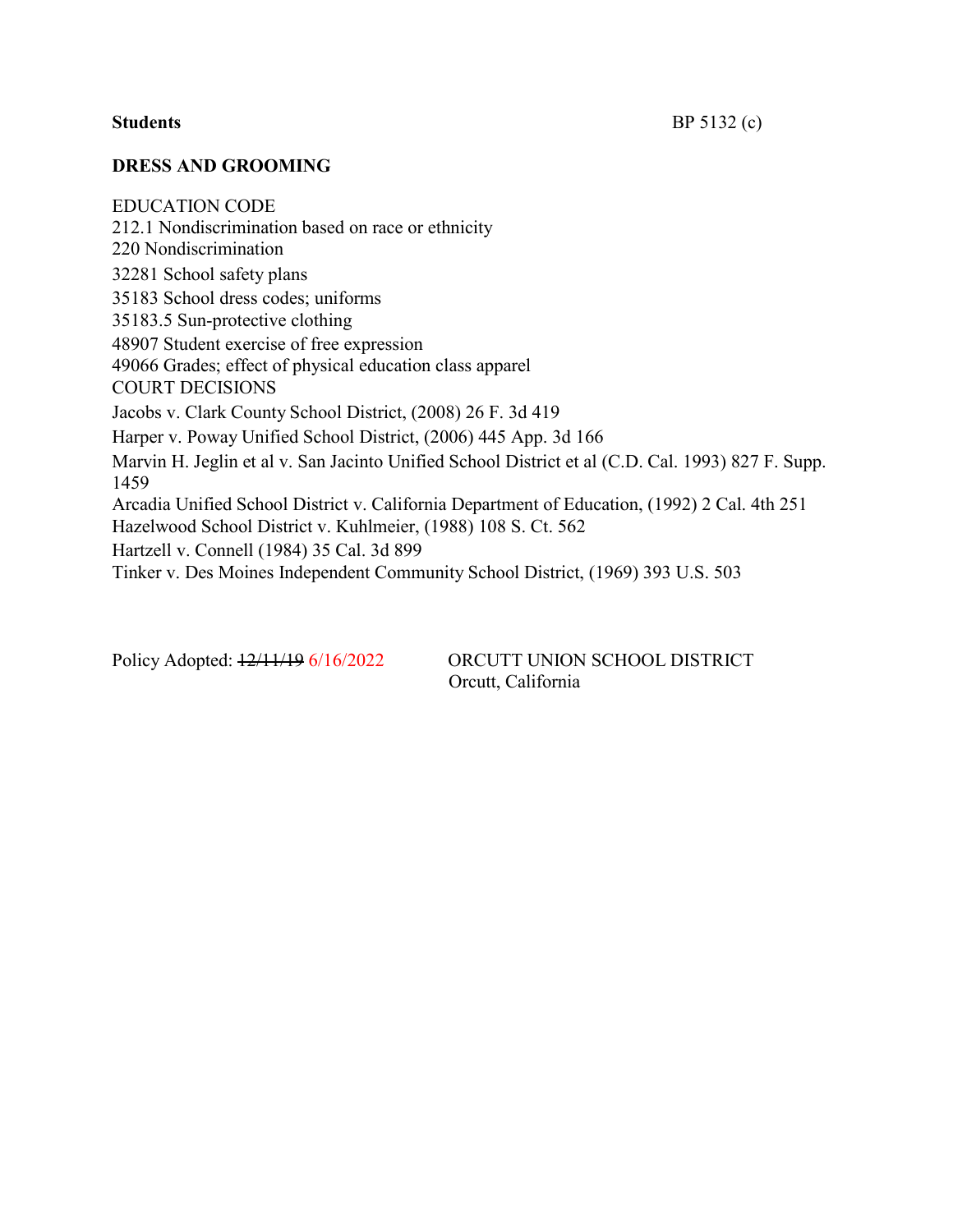#### **DRESS AND GROOMING**

EDUCATION CODE 212.1 Nondiscrimination based on race or ethnicity 220 Nondiscrimination 32281 School safety plans 35183 School dress codes; uniforms 35183.5 Sun-protective clothing 48907 Student exercise of free expression 49066 Grades; effect of physical education class apparel COURT DECISIONS Jacobs v. Clark County School District, (2008) 26 F. 3d 419 Harper v. Poway Unified School District, (2006) 445 App. 3d 166 Marvin H. Jeglin et al v. San Jacinto Unified School District et al (C.D. Cal. 1993) 827 F. Supp. 1459 Arcadia Unified School District v. California Department of Education, (1992) 2 Cal. 4th 251 Hazelwood School District v. Kuhlmeier, (1988) 108 S. Ct. 562 Hartzell v. Connell (1984) 35 Cal. 3d 899 Tinker v. Des Moines Independent Community School District, (1969) 393 U.S. 503

Policy Adopted:  $\frac{12}{11/19}$  6/16/2022 ORCUTT UNION SCHOOL DISTRICT Orcutt, California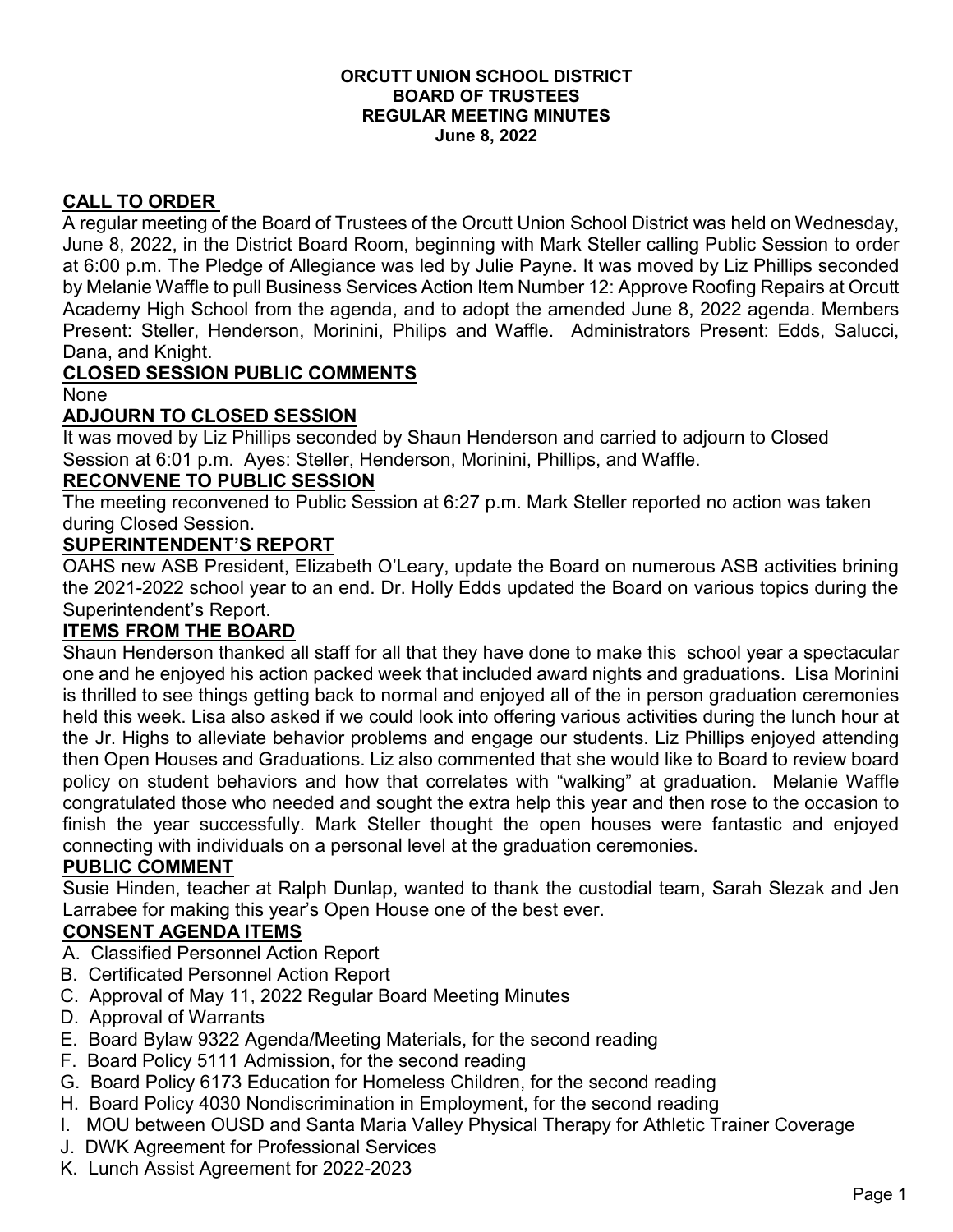#### **ORCUTT UNION SCHOOL DISTRICT BOARD OF TRUSTEES REGULAR MEETING MINUTES June 8, 2022**

# **CALL TO ORDER**

A regular meeting of the Board of Trustees of the Orcutt Union School District was held on Wednesday, June 8, 2022, in the District Board Room, beginning with Mark Steller calling Public Session to order at 6:00 p.m. The Pledge of Allegiance was led by Julie Payne. It was moved by Liz Phillips seconded by Melanie Waffle to pull Business Services Action Item Number 12: Approve Roofing Repairs at Orcutt Academy High School from the agenda, and to adopt the amended June 8, 2022 agenda. Members Present: Steller, Henderson, Morinini, Philips and Waffle. Administrators Present: Edds, Salucci, Dana, and Knight.

# **CLOSED SESSION PUBLIC COMMENTS**

None

# **ADJOURN TO CLOSED SESSION**

It was moved by Liz Phillips seconded by Shaun Henderson and carried to adjourn to Closed Session at 6:01 p.m. Ayes: Steller, Henderson, Morinini, Phillips, and Waffle.

#### **RECONVENE TO PUBLIC SESSION**

The meeting reconvened to Public Session at 6:27 p.m. Mark Steller reported no action was taken during Closed Session.

#### **SUPERINTENDENT'S REPORT**

OAHS new ASB President, Elizabeth O'Leary, update the Board on numerous ASB activities brining the 2021-2022 school year to an end. Dr. Holly Edds updated the Board on various topics during the Superintendent's Report.

# **ITEMS FROM THE BOARD**

Shaun Henderson thanked all staff for all that they have done to make this school year a spectacular one and he enjoyed his action packed week that included award nights and graduations. Lisa Morinini is thrilled to see things getting back to normal and enjoyed all of the in person graduation ceremonies held this week. Lisa also asked if we could look into offering various activities during the lunch hour at the Jr. Highs to alleviate behavior problems and engage our students. Liz Phillips enjoyed attending then Open Houses and Graduations. Liz also commented that she would like to Board to review board policy on student behaviors and how that correlates with "walking" at graduation. Melanie Waffle congratulated those who needed and sought the extra help this year and then rose to the occasion to finish the year successfully. Mark Steller thought the open houses were fantastic and enjoyed connecting with individuals on a personal level at the graduation ceremonies.

# **PUBLIC COMMENT**

Susie Hinden, teacher at Ralph Dunlap, wanted to thank the custodial team, Sarah Slezak and Jen Larrabee for making this year's Open House one of the best ever.

# **CONSENT AGENDA ITEMS**

- A. Classified Personnel Action Report
- B. Certificated Personnel Action Report
- C. Approval of May 11, 2022 Regular Board Meeting Minutes
- D. Approval of Warrants
- E. Board Bylaw 9322 Agenda/Meeting Materials, for the second reading
- F. Board Policy 5111 Admission, for the second reading
- G. Board Policy 6173 Education for Homeless Children, for the second reading
- H. Board Policy 4030 Nondiscrimination in Employment, for the second reading
- I. MOU between OUSD and Santa Maria Valley Physical Therapy for Athletic Trainer Coverage
- J. DWK Agreement for Professional Services
- K. Lunch Assist Agreement for 2022-2023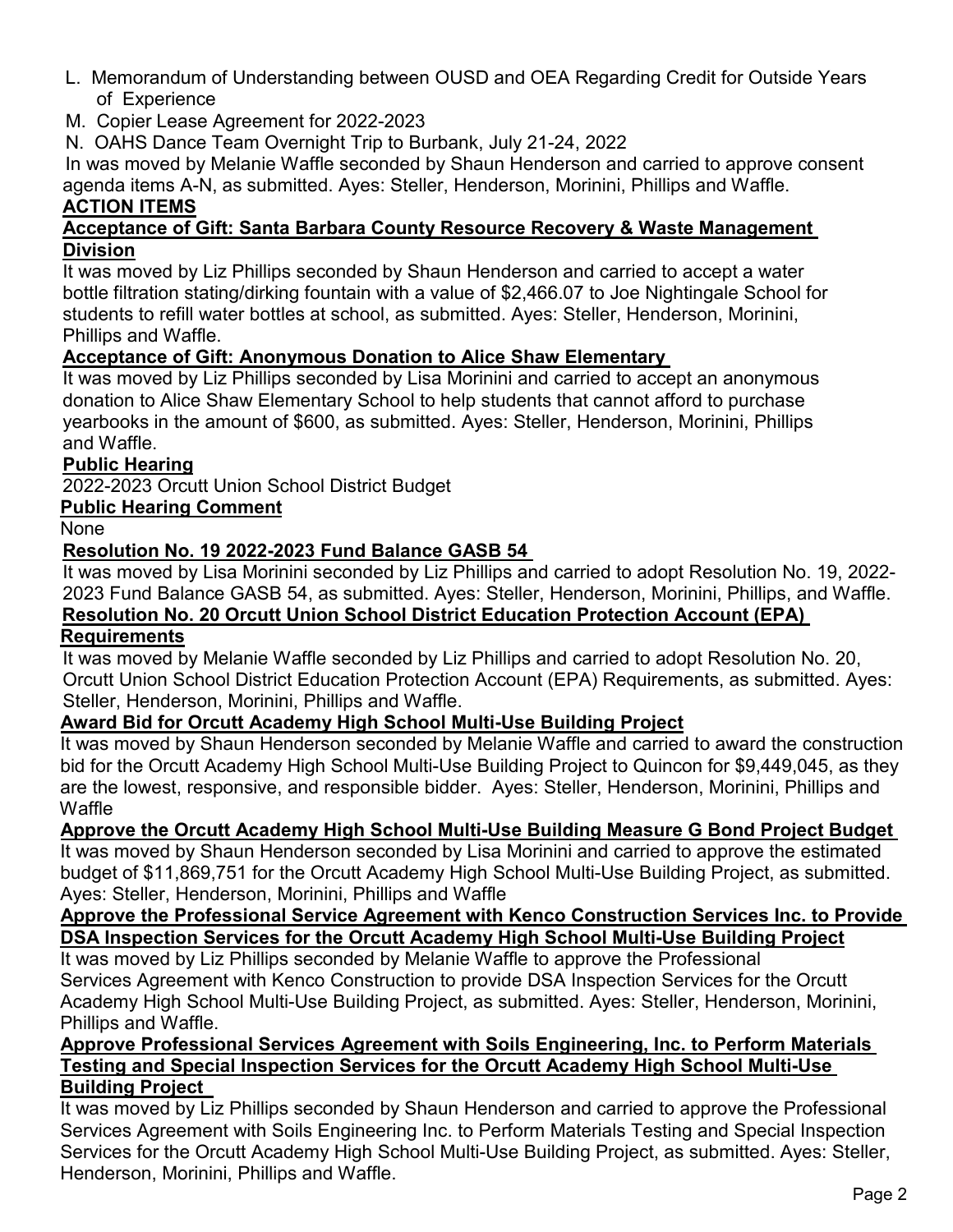- L. Memorandum of Understanding between OUSD and OEA Regarding Credit for Outside Years of Experience
- M. Copier Lease Agreement for 2022-2023

N. OAHS Dance Team Overnight Trip to Burbank, July 21-24, 2022

 In was moved by Melanie Waffle seconded by Shaun Henderson and carried to approve consent agenda items A-N, as submitted. Ayes: Steller, Henderson, Morinini, Phillips and Waffle. **ACTION ITEMS**

#### **Acceptance of Gift: Santa Barbara County Resource Recovery & Waste Management Division**

It was moved by Liz Phillips seconded by Shaun Henderson and carried to accept a water bottle filtration stating/dirking fountain with a value of \$2,466.07 to Joe Nightingale School for students to refill water bottles at school, as submitted. Ayes: Steller, Henderson, Morinini, Phillips and Waffle.

# **Acceptance of Gift: Anonymous Donation to Alice Shaw Elementary**

It was moved by Liz Phillips seconded by Lisa Morinini and carried to accept an anonymous donation to Alice Shaw Elementary School to help students that cannot afford to purchase yearbooks in the amount of \$600, as submitted. Ayes: Steller, Henderson, Morinini, Phillips and Waffle.

# **Public Hearing**

2022-2023 Orcutt Union School District Budget

# **Public Hearing Comment**

None

# **Resolution No. 19 2022-2023 Fund Balance GASB 54**

It was moved by Lisa Morinini seconded by Liz Phillips and carried to adopt Resolution No. 19, 2022- 2023 Fund Balance GASB 54, as submitted. Ayes: Steller, Henderson, Morinini, Phillips, and Waffle. **Resolution No. 20 Orcutt Union School District Education Protection Account (EPA) Requirements**

#### It was moved by Melanie Waffle seconded by Liz Phillips and carried to adopt Resolution No. 20, Orcutt Union School District Education Protection Account (EPA) Requirements, as submitted. Ayes: Steller, Henderson, Morinini, Phillips and Waffle.

# **Award Bid for Orcutt Academy High School Multi-Use Building Project**

 It was moved by Shaun Henderson seconded by Melanie Waffle and carried to award the construction bid for the Orcutt Academy High School Multi-Use Building Project to Quincon for \$9,449,045, as they are the lowest, responsive, and responsible bidder. Ayes: Steller, Henderson, Morinini, Phillips and Waffle

# **Approve the Orcutt Academy High School Multi-Use Building Measure G Bond Project Budget**

 It was moved by Shaun Henderson seconded by Lisa Morinini and carried to approve the estimated budget of \$11,869,751 for the Orcutt Academy High School Multi-Use Building Project, as submitted. Ayes: Steller, Henderson, Morinini, Phillips and Waffle

#### **Approve the Professional Service Agreement with Kenco Construction Services Inc. to Provide DSA Inspection Services for the Orcutt Academy High School Multi-Use Building Project**

 It was moved by Liz Phillips seconded by Melanie Waffle to approve the Professional Services Agreement with Kenco Construction to provide DSA Inspection Services for the Orcutt Academy High School Multi-Use Building Project, as submitted. Ayes: Steller, Henderson, Morinini, Phillips and Waffle.

#### **Approve Professional Services Agreement with Soils Engineering, Inc. to Perform Materials Testing and Special Inspection Services for the Orcutt Academy High School Multi-Use Building Project**

 It was moved by Liz Phillips seconded by Shaun Henderson and carried to approve the Professional Services Agreement with Soils Engineering Inc. to Perform Materials Testing and Special Inspection Services for the Orcutt Academy High School Multi-Use Building Project, as submitted. Ayes: Steller, Henderson, Morinini, Phillips and Waffle.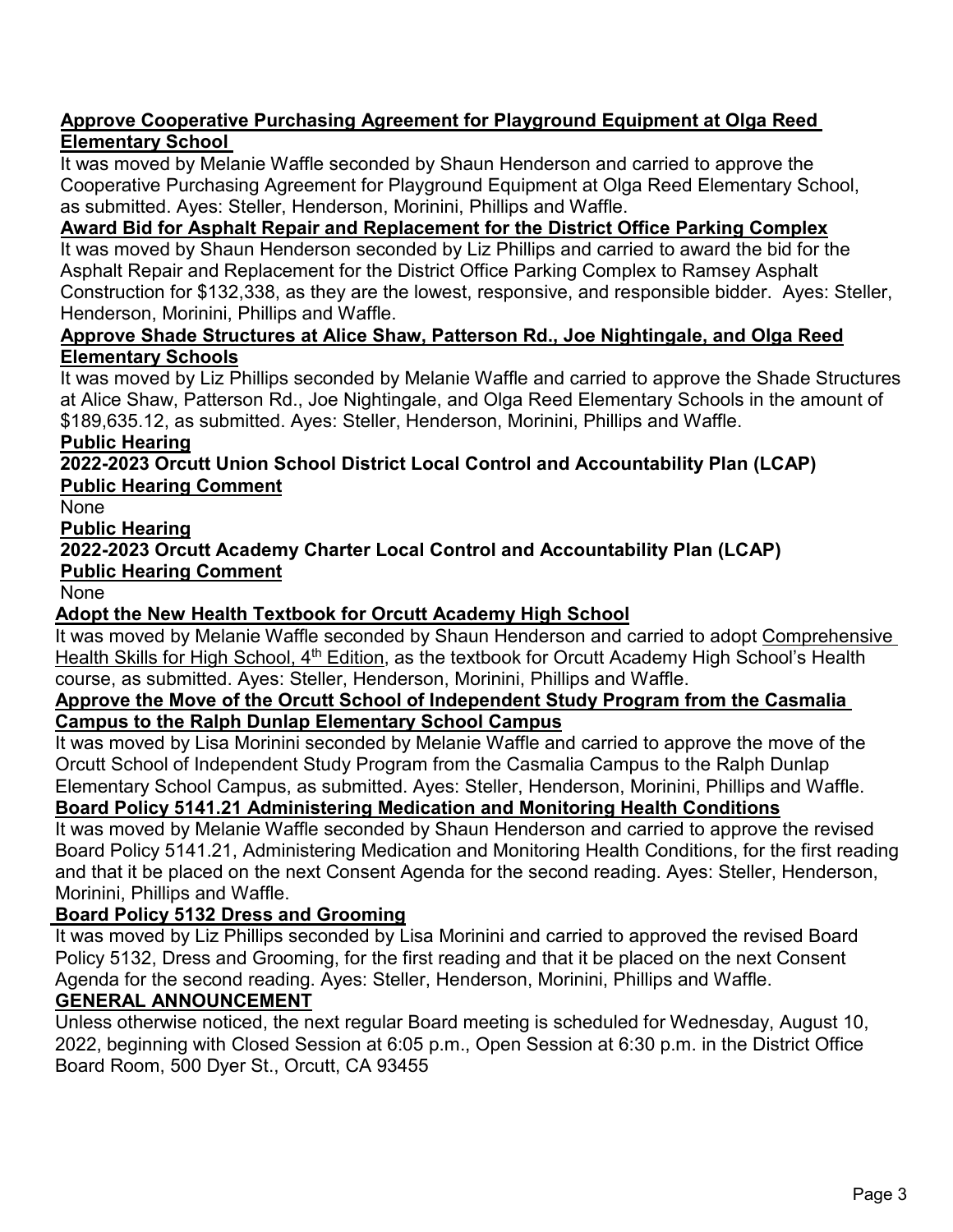#### **Approve Cooperative Purchasing Agreement for Playground Equipment at Olga Reed Elementary School**

 It was moved by Melanie Waffle seconded by Shaun Henderson and carried to approve the Cooperative Purchasing Agreement for Playground Equipment at Olga Reed Elementary School, as submitted. Ayes: Steller, Henderson, Morinini, Phillips and Waffle.

# **Award Bid for Asphalt Repair and Replacement for the District Office Parking Complex**

 It was moved by Shaun Henderson seconded by Liz Phillips and carried to award the bid for the Asphalt Repair and Replacement for the District Office Parking Complex to Ramsey Asphalt Construction for \$132,338, as they are the lowest, responsive, and responsible bidder. Ayes: Steller, Henderson, Morinini, Phillips and Waffle.

#### **Approve Shade Structures at Alice Shaw, Patterson Rd., Joe Nightingale, and Olga Reed Elementary Schools**

 It was moved by Liz Phillips seconded by Melanie Waffle and carried to approve the Shade Structures at Alice Shaw, Patterson Rd., Joe Nightingale, and Olga Reed Elementary Schools in the amount of \$189,635.12, as submitted. Ayes: Steller, Henderson, Morinini, Phillips and Waffle.

# **Public Hearing**

 **2022-2023 Orcutt Union School District Local Control and Accountability Plan (LCAP) Public Hearing Comment**

**None** 

# **Public Hearing**

 **2022-2023 Orcutt Academy Charter Local Control and Accountability Plan (LCAP) Public Hearing Comment**

None

# **Adopt the New Health Textbook for Orcutt Academy High School**

 It was moved by Melanie Waffle seconded by Shaun Henderson and carried to adopt Comprehensive Health Skills for High School, 4<sup>th</sup> Edition, as the textbook for Orcutt Academy High School's Health course, as submitted. Ayes: Steller, Henderson, Morinini, Phillips and Waffle.

#### **Approve the Move of the Orcutt School of Independent Study Program from the Casmalia Campus to the Ralph Dunlap Elementary School Campus**

 It was moved by Lisa Morinini seconded by Melanie Waffle and carried to approve the move of the Orcutt School of Independent Study Program from the Casmalia Campus to the Ralph Dunlap Elementary School Campus, as submitted. Ayes: Steller, Henderson, Morinini, Phillips and Waffle.

# **Board Policy 5141.21 Administering Medication and Monitoring Health Conditions**

 It was moved by Melanie Waffle seconded by Shaun Henderson and carried to approve the revised Board Policy 5141.21, Administering Medication and Monitoring Health Conditions, for the first reading and that it be placed on the next Consent Agenda for the second reading. Ayes: Steller, Henderson, Morinini, Phillips and Waffle.

# **Board Policy 5132 Dress and Grooming**

 It was moved by Liz Phillips seconded by Lisa Morinini and carried to approved the revised Board Policy 5132, Dress and Grooming, for the first reading and that it be placed on the next Consent Agenda for the second reading. Ayes: Steller, Henderson, Morinini, Phillips and Waffle.

# **GENERAL ANNOUNCEMENT**

 Unless otherwise noticed, the next regular Board meeting is scheduled for Wednesday, August 10, 2022, beginning with Closed Session at 6:05 p.m., Open Session at 6:30 p.m. in the District Office Board Room, 500 Dyer St., Orcutt, CA 93455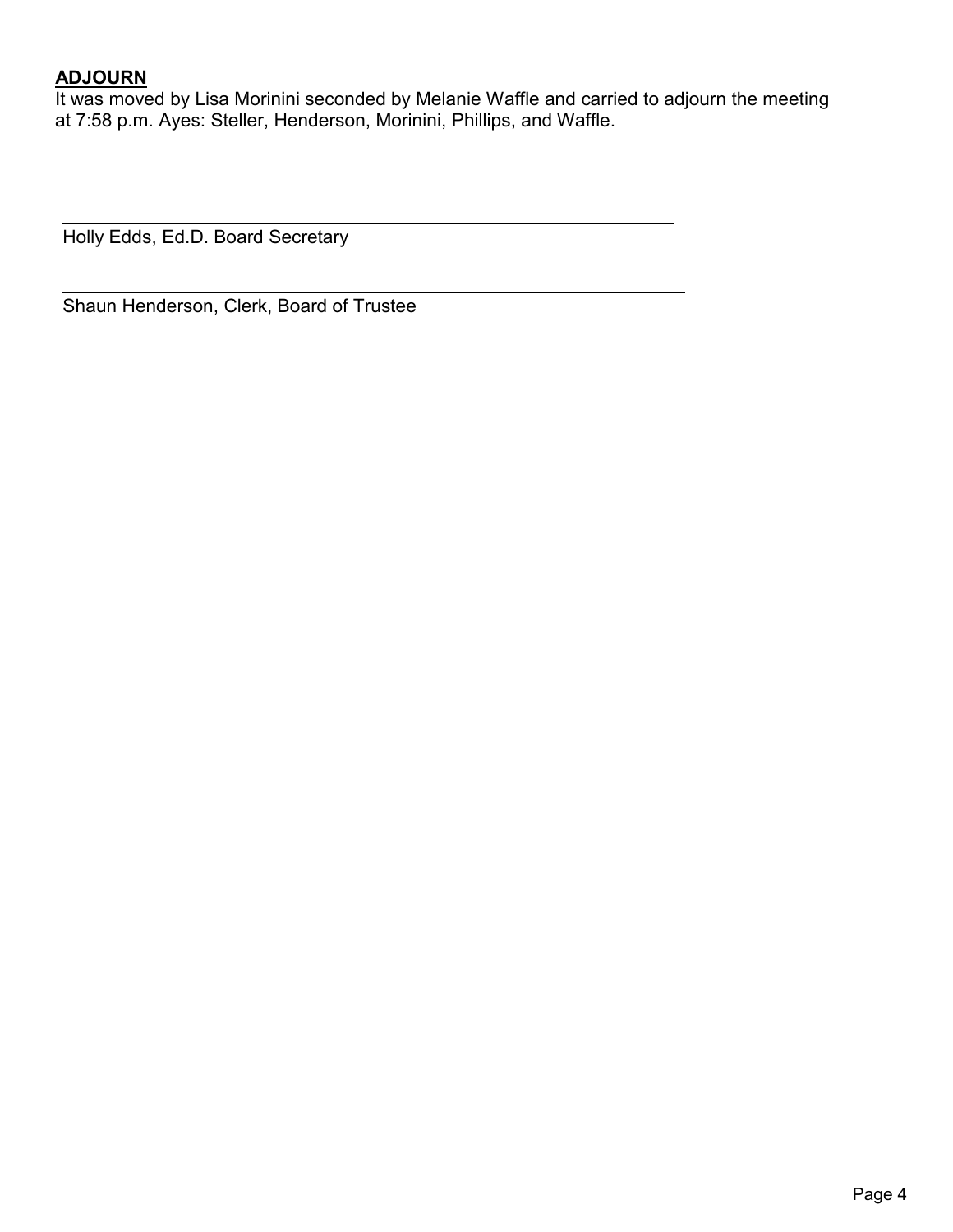# **ADJOURN**

 It was moved by Lisa Morinini seconded by Melanie Waffle and carried to adjourn the meeting at 7:58 p.m. Ayes: Steller, Henderson, Morinini, Phillips, and Waffle.

Holly Edds, Ed.D. Board Secretary

Shaun Henderson, Clerk, Board of Trustee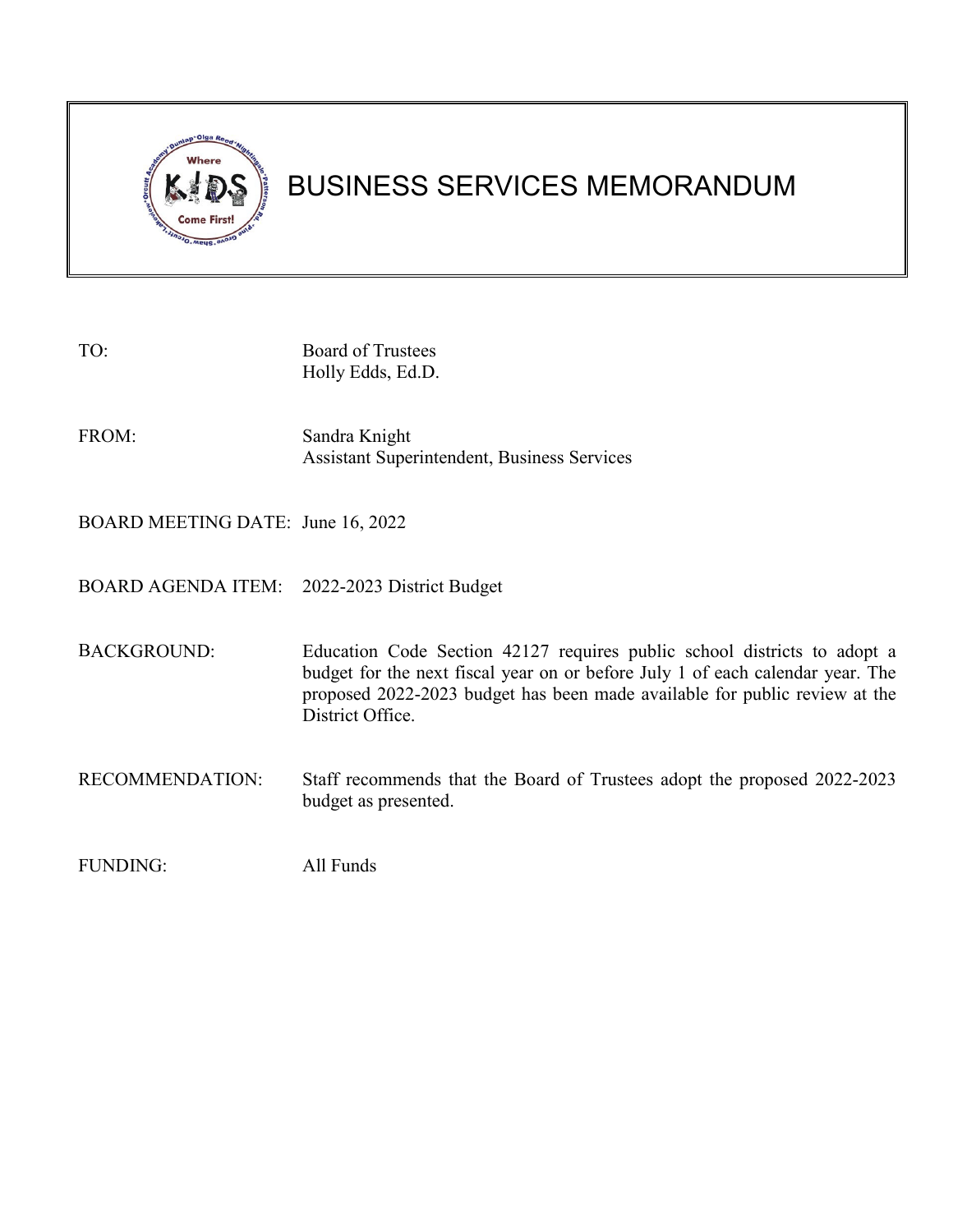

# BUSINESS SERVICES MEMORANDUM

| TO:                                          | <b>Board of Trustees</b><br>Holly Edds, Ed.D.                                                                                                                                                                                                                |
|----------------------------------------------|--------------------------------------------------------------------------------------------------------------------------------------------------------------------------------------------------------------------------------------------------------------|
| FROM:                                        | Sandra Knight<br><b>Assistant Superintendent, Business Services</b>                                                                                                                                                                                          |
| BOARD MEETING DATE: June 16, 2022            |                                                                                                                                                                                                                                                              |
| BOARD AGENDA ITEM: 2022-2023 District Budget |                                                                                                                                                                                                                                                              |
| <b>BACKGROUND:</b>                           | Education Code Section 42127 requires public school districts to adopt a<br>budget for the next fiscal year on or before July 1 of each calendar year. The<br>proposed 2022-2023 budget has been made available for public review at the<br>District Office. |
| RECOMMENDATION:                              | Staff recommends that the Board of Trustees adopt the proposed 2022-2023<br>budget as presented.                                                                                                                                                             |
| FUNDING:                                     | All Funds                                                                                                                                                                                                                                                    |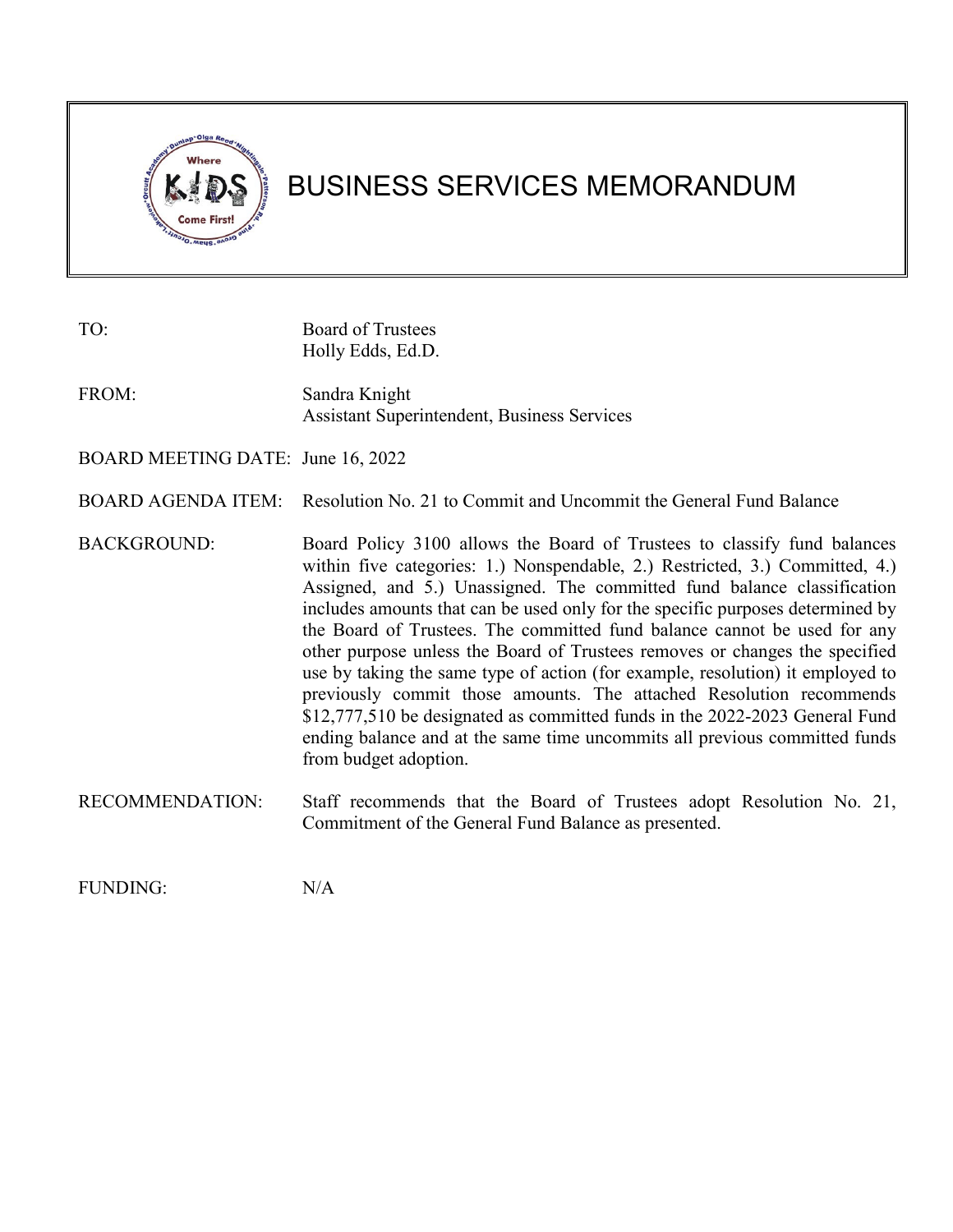

# BUSINESS SERVICES MEMORANDUM

| TO:                               | <b>Board of Trustees</b><br>Holly Edds, Ed.D.                                                                                                                                                                                                                                                                                                                                                                                                                                                                                                                                                                                                                                                                                                                                                                                   |
|-----------------------------------|---------------------------------------------------------------------------------------------------------------------------------------------------------------------------------------------------------------------------------------------------------------------------------------------------------------------------------------------------------------------------------------------------------------------------------------------------------------------------------------------------------------------------------------------------------------------------------------------------------------------------------------------------------------------------------------------------------------------------------------------------------------------------------------------------------------------------------|
| FROM:                             | Sandra Knight<br><b>Assistant Superintendent, Business Services</b>                                                                                                                                                                                                                                                                                                                                                                                                                                                                                                                                                                                                                                                                                                                                                             |
| BOARD MEETING DATE: June 16, 2022 |                                                                                                                                                                                                                                                                                                                                                                                                                                                                                                                                                                                                                                                                                                                                                                                                                                 |
| <b>BOARD AGENDA ITEM:</b>         | Resolution No. 21 to Commit and Uncommit the General Fund Balance                                                                                                                                                                                                                                                                                                                                                                                                                                                                                                                                                                                                                                                                                                                                                               |
| <b>BACKGROUND:</b>                | Board Policy 3100 allows the Board of Trustees to classify fund balances<br>within five categories: 1.) Nonspendable, 2.) Restricted, 3.) Committed, 4.)<br>Assigned, and 5.) Unassigned. The committed fund balance classification<br>includes amounts that can be used only for the specific purposes determined by<br>the Board of Trustees. The committed fund balance cannot be used for any<br>other purpose unless the Board of Trustees removes or changes the specified<br>use by taking the same type of action (for example, resolution) it employed to<br>previously commit those amounts. The attached Resolution recommends<br>\$12,777,510 be designated as committed funds in the 2022-2023 General Fund<br>ending balance and at the same time uncommits all previous committed funds<br>from budget adoption. |
| RECOMMENDATION:                   | Staff recommends that the Board of Trustees adopt Resolution No. 21,<br>Commitment of the General Fund Balance as presented.                                                                                                                                                                                                                                                                                                                                                                                                                                                                                                                                                                                                                                                                                                    |

FUNDING: N/A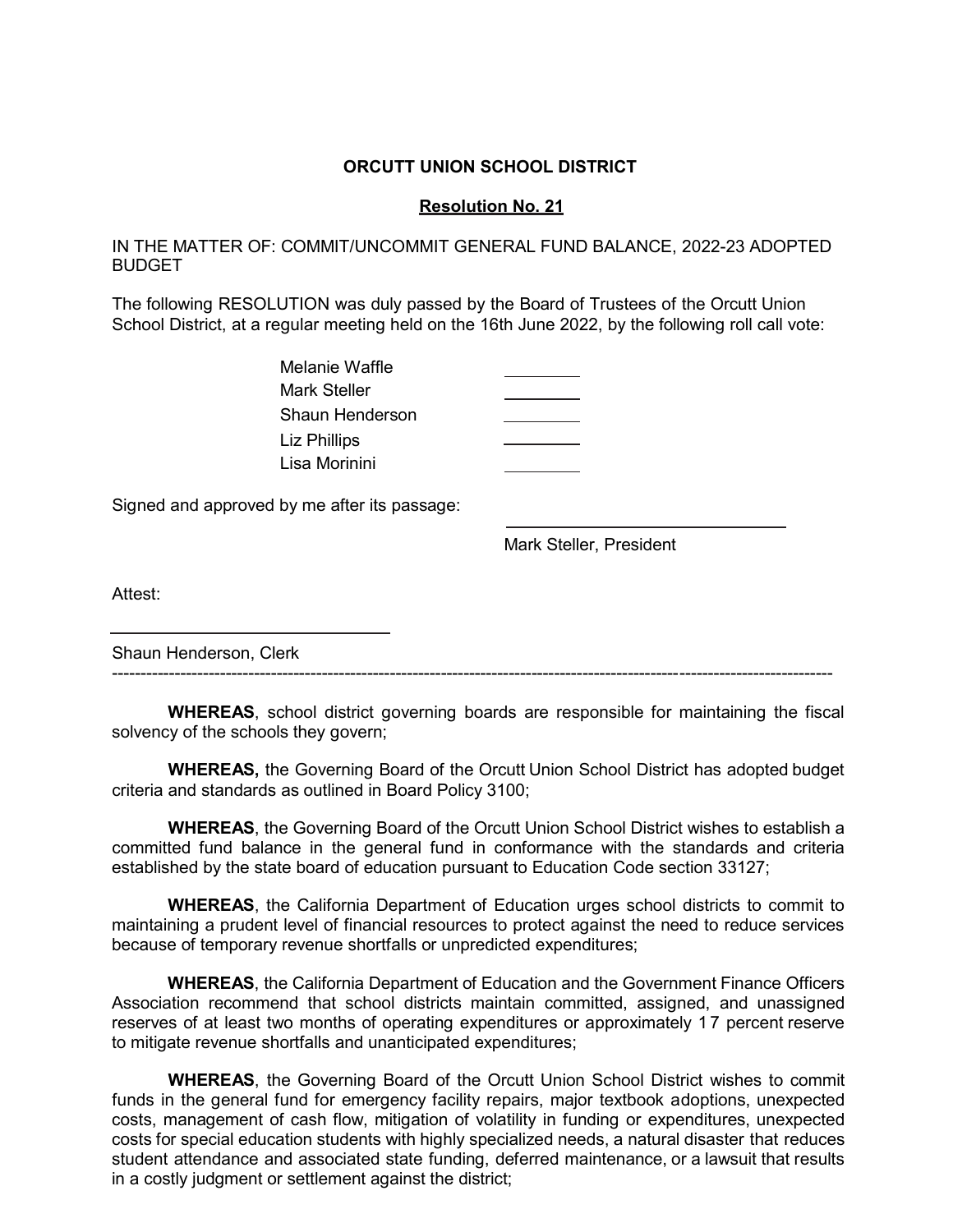#### **ORCUTT UNION SCHOOL DISTRICT**

#### **Resolution No. 21**

IN THE MATTER OF: COMMIT/UNCOMMIT GENERAL FUND BALANCE, 2022-23 ADOPTED BUDGET

The following RESOLUTION was duly passed by the Board of Trustees of the Orcutt Union School District, at a regular meeting held on the 16th June 2022, by the following roll call vote:

| Melanie Waffle        |  |
|-----------------------|--|
| Mark Steller          |  |
| Shaun Henderson       |  |
| Liz Phillips          |  |
| <u>I isa Morinini</u> |  |

Signed and approved by me after its passage:

Mark Steller, President

Attest:

Shaun Henderson, Clerk

**WHEREAS**, school district governing boards are responsible for maintaining the fiscal solvency of the schools they govern;

-------------------------------------------------------------------------------------------------------------------------------

**WHEREAS,** the Governing Board of the Orcutt Union School District has adopted budget criteria and standards as outlined in Board Policy 3100;

**WHEREAS**, the Governing Board of the Orcutt Union School District wishes to establish a committed fund balance in the general fund in conformance with the standards and criteria established by the state board of education pursuant to Education Code section 33127;

**WHEREAS**, the California Department of Education urges school districts to commit to maintaining a prudent level of financial resources to protect against the need to reduce services because of temporary revenue shortfalls or unpredicted expenditures;

**WHEREAS**, the California Department of Education and the Government Finance Officers Association recommend that school districts maintain committed, assigned, and unassigned reserves of at least two months of operating expenditures or approximately 17 percent reserve to mitigate revenue shortfalls and unanticipated expenditures;

**WHEREAS**, the Governing Board of the Orcutt Union School District wishes to commit funds in the general fund for emergency facility repairs, major textbook adoptions, unexpected costs, management of cash flow, mitigation of volatility in funding or expenditures, unexpected costs for special education students with highly specialized needs, a natural disaster that reduces student attendance and associated state funding, deferred maintenance, or a lawsuit that results in a costly judgment or settlement against the district;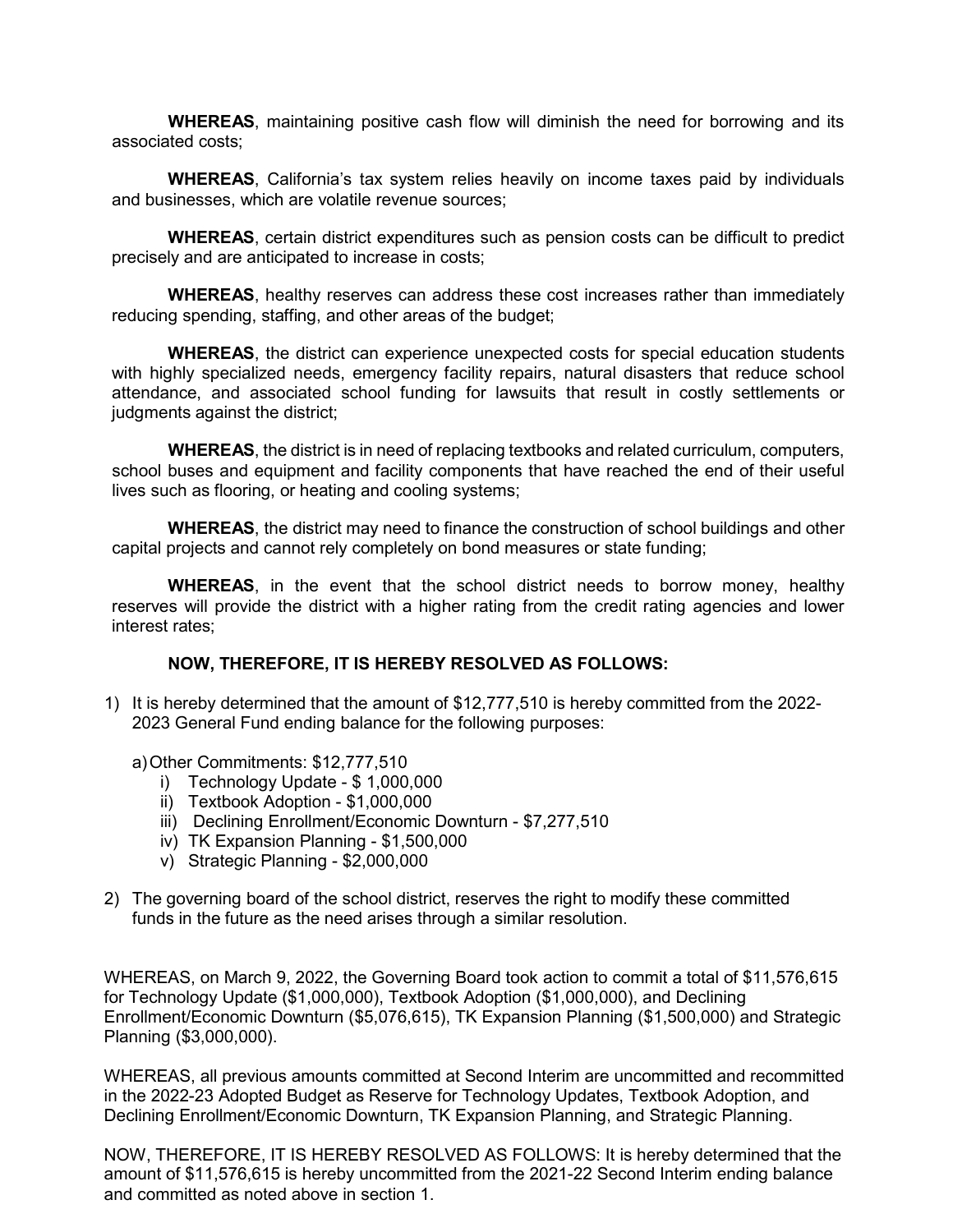**WHEREAS**, maintaining positive cash flow will diminish the need for borrowing and its associated costs;

**WHEREAS**, California's tax system relies heavily on income taxes paid by individuals and businesses, which are volatile revenue sources;

**WHEREAS**, certain district expenditures such as pension costs can be difficult to predict precisely and are anticipated to increase in costs;

**WHEREAS**, healthy reserves can address these cost increases rather than immediately reducing spending, staffing, and other areas of the budget;

**WHEREAS**, the district can experience unexpected costs for special education students with highly specialized needs, emergency facility repairs, natural disasters that reduce school attendance, and associated school funding for lawsuits that result in costly settlements or judgments against the district;

**WHEREAS**, the district is in need of replacing textbooks and related curriculum, computers, school buses and equipment and facility components that have reached the end of their useful lives such as flooring, or heating and cooling systems;

**WHEREAS**, the district may need to finance the construction of school buildings and other capital projects and cannot rely completely on bond measures or state funding;

**WHEREAS**, in the event that the school district needs to borrow money, healthy reserves will provide the district with a higher rating from the credit rating agencies and lower interest rates;

#### **NOW, THEREFORE, IT IS HEREBY RESOLVED AS FOLLOWS:**

1) It is hereby determined that the amount of \$12,777,510 is hereby committed from the 2022- 2023 General Fund ending balance for the following purposes:

a)Other Commitments: \$12,777,510

- i) Technology Update \$ 1,000,000
- ii) Textbook Adoption \$1,000,000
- iii) Declining Enrollment/Economic Downturn \$7,277,510
- iv) TK Expansion Planning \$1,500,000
- v) Strategic Planning \$2,000,000
- 2) The governing board of the school district, reserves the right to modify these committed funds in the future as the need arises through a similar resolution.

WHEREAS, on March 9, 2022, the Governing Board took action to commit a total of \$11,576,615 for Technology Update (\$1,000,000), Textbook Adoption (\$1,000,000), and Declining Enrollment/Economic Downturn (\$5,076,615), TK Expansion Planning (\$1,500,000) and Strategic Planning (\$3,000,000).

WHEREAS, all previous amounts committed at Second Interim are uncommitted and recommitted in the 2022-23 Adopted Budget as Reserve for Technology Updates, Textbook Adoption, and Declining Enrollment/Economic Downturn, TK Expansion Planning, and Strategic Planning.

NOW, THEREFORE, IT IS HEREBY RESOLVED AS FOLLOWS: It is hereby determined that the amount of \$11,576,615 is hereby uncommitted from the 2021-22 Second Interim ending balance and committed as noted above in section 1.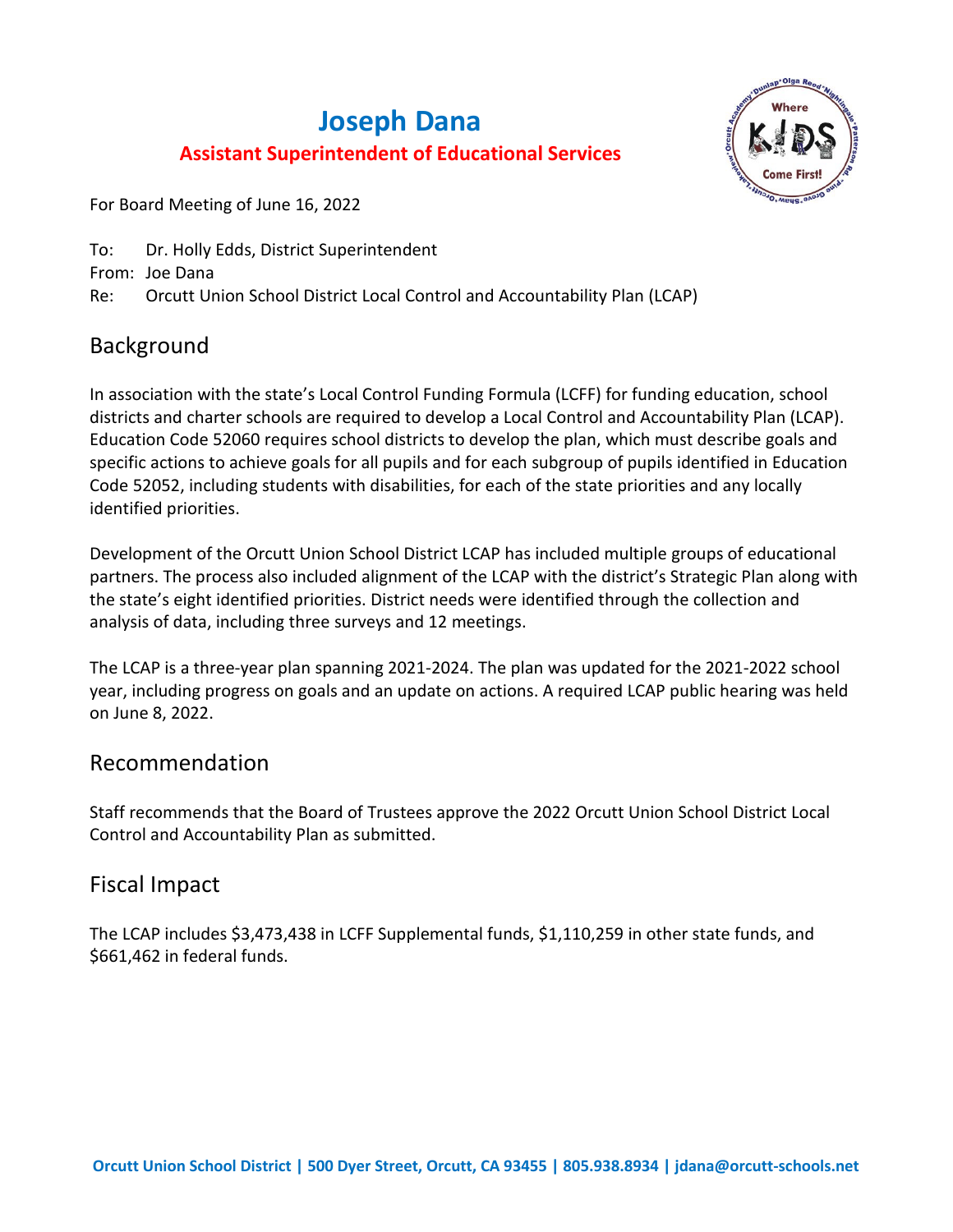# **Joseph Dana Assistant Superintendent of Educational Services**



For Board Meeting of June 16, 2022

To: Dr. Holly Edds, District Superintendent From: Joe Dana Re: Orcutt Union School District Local Control and Accountability Plan (LCAP)

# Background

In association with the state's Local Control Funding Formula (LCFF) for funding education, school districts and charter schools are required to develop a Local Control and Accountability Plan (LCAP). Education Code 52060 requires school districts to develop the plan, which must describe goals and specific actions to achieve goals for all pupils and for each subgroup of pupils identified in Education Code 52052, including students with disabilities, for each of the state priorities and any locally identified priorities.

Development of the Orcutt Union School District LCAP has included multiple groups of educational partners. The process also included alignment of the LCAP with the district's Strategic Plan along with the state's eight identified priorities. District needs were identified through the collection and analysis of data, including three surveys and 12 meetings.

The LCAP is a three-year plan spanning 2021-2024. The plan was updated for the 2021-2022 school year, including progress on goals and an update on actions. A required LCAP public hearing was held on June 8, 2022.

# Recommendation

Staff recommends that the Board of Trustees approve the 2022 Orcutt Union School District Local Control and Accountability Plan as submitted.

# Fiscal Impact

The LCAP includes \$3,473,438 in LCFF Supplemental funds, \$1,110,259 in other state funds, and \$661,462 in federal funds.